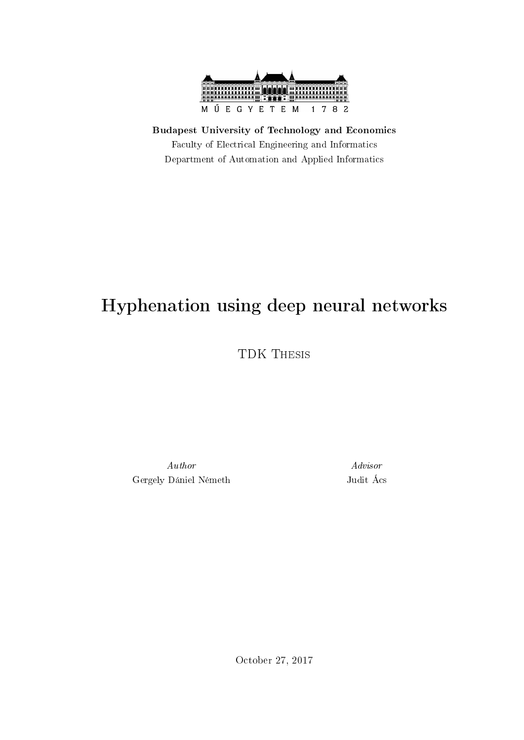

Budapest University of Technology and Economics Faculty of Electrical Engineering and Informatics Department of Automation and Applied Informatics

## Hyphenation using deep neural networks

TDK Thesis

Author Advisor Gergely Dániel Németh Judit Ács

October 27, 2017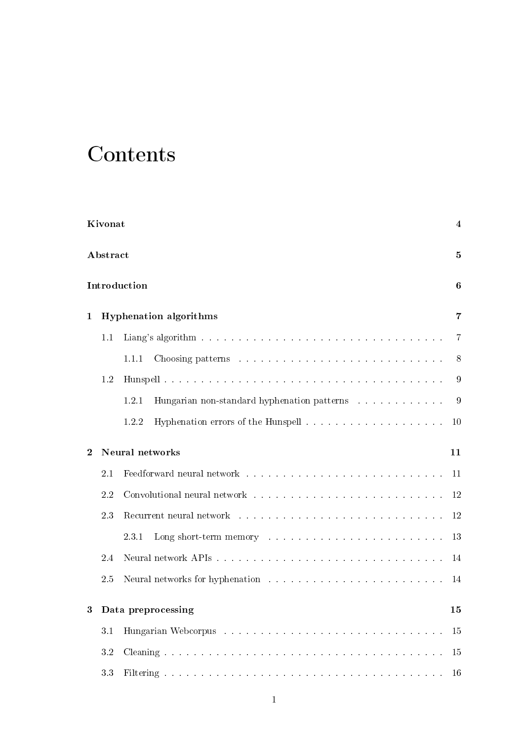# **Contents**

|                | Kivonat  |                                                                                                                                                                                                                                         | 4  |
|----------------|----------|-----------------------------------------------------------------------------------------------------------------------------------------------------------------------------------------------------------------------------------------|----|
|                | Abstract |                                                                                                                                                                                                                                         | 5  |
|                |          | Introduction                                                                                                                                                                                                                            | 6  |
| $\mathbf{1}$   |          | <b>Hyphenation algorithms</b>                                                                                                                                                                                                           | 7  |
|                | 1.1      |                                                                                                                                                                                                                                         | 7  |
|                |          | 1.1.1                                                                                                                                                                                                                                   | 8  |
|                | 1.2      |                                                                                                                                                                                                                                         | 9  |
|                |          | 1.2.1                                                                                                                                                                                                                                   | 9  |
|                |          | 1.2.2                                                                                                                                                                                                                                   | 10 |
| $\overline{2}$ |          | Neural networks                                                                                                                                                                                                                         | 11 |
|                | 2.1      |                                                                                                                                                                                                                                         | 11 |
|                | 2.2      | Convolutional neural network entertainment is a series of the series of the series of the series of the series of the series of the series of the series of the series of the series of the series of the series of the series          | 12 |
|                | 2.3      | Recurrent neural network entertainment is a series of the series of the series of the series of the series of the series of the series of the series of the series of the series of the series of the series of the series of           | 12 |
|                |          | Long short-term memory resources and containing the state of the state of the state of the state of the state of the state of the state of the state of the state of the state of the state of the state of the state of the s<br>2.3.1 | 13 |
|                | 2.4      |                                                                                                                                                                                                                                         | 14 |
|                | 2.5      |                                                                                                                                                                                                                                         | 14 |
|                |          | Data preprocessing                                                                                                                                                                                                                      | 15 |
|                | 3.1      |                                                                                                                                                                                                                                         | 15 |
|                | 3.2      |                                                                                                                                                                                                                                         | 15 |
|                | 33       |                                                                                                                                                                                                                                         | 16 |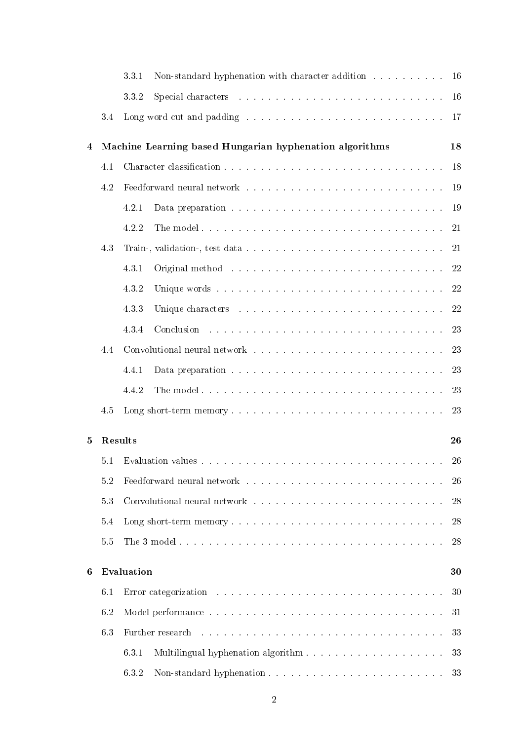|                |         | Non-standard hyphenation with character addition 16<br>3.3.1                                                                                                                                                                                    |
|----------------|---------|-------------------------------------------------------------------------------------------------------------------------------------------------------------------------------------------------------------------------------------------------|
|                |         | 16<br>332                                                                                                                                                                                                                                       |
|                | 3.4     | Long word cut and padding with a subsequently and containing the set of the set of the set of the set of the set of the set of the set of the set of the set of the set of the set of the set of the set of the set of the set<br><sup>17</sup> |
| $\overline{4}$ |         | Machine Learning based Hungarian hyphenation algorithms<br>18                                                                                                                                                                                   |
|                | 4.1     | 18                                                                                                                                                                                                                                              |
|                | 4.2     | Feedforward neural network with a substitution of the state of the state of the state of the state of the state of the state of the state of the state of the state of the state of the state of the state of the state of the<br>19            |
|                |         | 19<br>4.2.1                                                                                                                                                                                                                                     |
|                |         | 21<br>4.2.2                                                                                                                                                                                                                                     |
|                | 4.3     | 21                                                                                                                                                                                                                                              |
|                |         | Original method and a subsequently and a subsequently contact the contact of the contact of the contact of the<br>22<br>4.3.1                                                                                                                   |
|                |         | 22<br>4.3.2                                                                                                                                                                                                                                     |
|                |         | 22<br>433<br>Unique characters in the contract of the contract of the contract of the contract of the contract of the contract of the contract of the contract of the contract of the contract of the contract of the contract of the contr     |
|                |         | Conclusion and a series are a series and a series are a series and a series of the series of the series of the<br>23<br>4.3.4                                                                                                                   |
|                | 4.4     | Convolutional neural network with a subsequently and a subsequently convolutional neural network with a subsequently convolutional neural neural neural neural neural neural neural neural neural neural neural neural neural<br>23             |
|                |         | 23<br>4.4.1                                                                                                                                                                                                                                     |
|                |         | 23<br>4.4.2                                                                                                                                                                                                                                     |
|                | 4.5     | 23                                                                                                                                                                                                                                              |
| 5              | Results | 26                                                                                                                                                                                                                                              |
|                | 5.1     | 26<br>Evaluation values in the contract of the contract of the contract of the contract of the contract of the contract of the contract of the contract of the contract of the contract of the contract of the contract of the contr            |
|                | 5.2     | Feedforward neural network with a substitution of the set of the set of the set of the set of the set of the set of the set of the set of the set of the set of the set of the set of the set of the set of the set of the set<br>26            |
|                | 53      | Convolutional neural network entering the series of the series of the series of the series of the series of the series of the series of the series of the series of the series of the series of the series of the series of th<br>28            |
|                | 5.4     | 28                                                                                                                                                                                                                                              |
|                | 5.5     | 28                                                                                                                                                                                                                                              |
| 6              |         | Evaluation<br>30                                                                                                                                                                                                                                |
|                | 6.1     | 30                                                                                                                                                                                                                                              |
|                | 6.2     | Model performance research research research research in the set of the Model of the set of the set of the set of the set of the set of the set of the set of the set of the set of the set of the set of the set of the set o<br>31            |
|                | 6.3     | 33<br>Further research                                                                                                                                                                                                                          |
|                |         | 33<br>6.3.1<br>Multilingual hyphenation algorithm.                                                                                                                                                                                              |
|                |         | 6.3.2<br>Non-standard hyphenation<br>33                                                                                                                                                                                                         |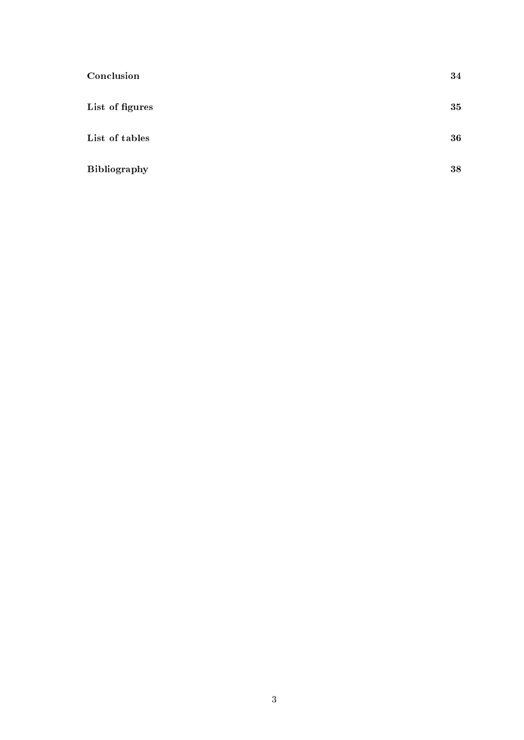| Conclusion      | 34 |
|-----------------|----|
| List of figures | 35 |
| List of tables  | 36 |
| Bibliography    | 38 |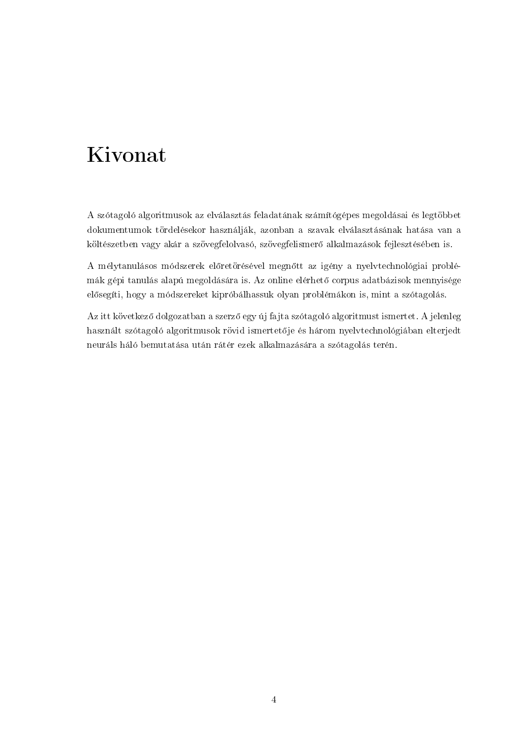## <span id="page-4-0"></span>Kivonat

A szótagoló algoritmusok az elválasztás feladatának számítógépes megoldásai és legtöbbet dokumentumok tördelésekor használják, azonban a szavak elválasztásának hatása van a költészetben vagy akár a szövegfelolvasó, szövegfelismerő alkalmazások fejlesztésében is.

A mélytanulásos módszerek előretörésével megnőtt az igény a nyelvtechnológiai problémák gépi tanulás alapú megoldására is. Az online elérhető corpus adatbázisok mennyisége elősegíti, hogy a módszereket kipróbálhassuk olyan problémákon is, mint a szótagolás.

Az itt következ® dolgozatban a szerz® egy új fajta szótagoló algoritmust ismertet. A jelenleg használt szótagoló algoritmusok rövid ismertetője és három nyelvtechnológiában elterjedt neuráls háló bemutatása után rátér ezek alkalmazására a szótagolás terén.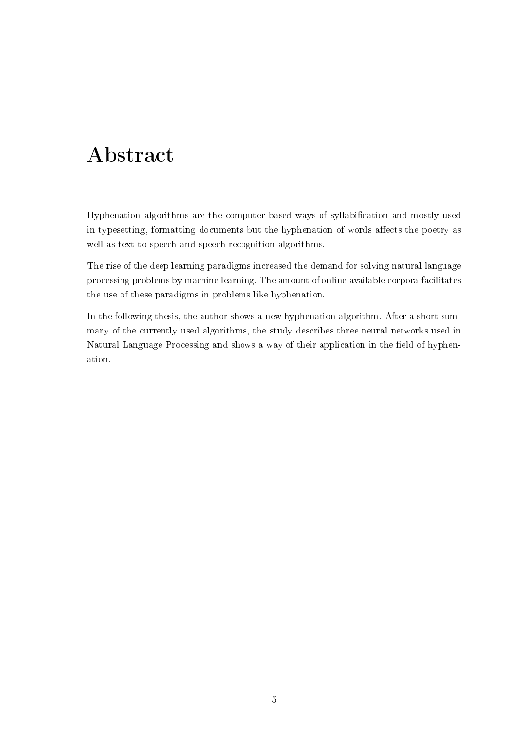## <span id="page-5-0"></span>Abstract

Hyphenation algorithms are the computer based ways of syllabification and mostly used in typesetting, formatting documents but the hyphenation of words affects the poetry as well as text-to-speech and speech recognition algorithms.

The rise of the deep learning paradigms increased the demand for solving natural language processing problems by machine learning. The amount of online available corpora facilitates the use of these paradigms in problems like hyphenation.

In the following thesis, the author shows a new hyphenation algorithm. After a short summary of the currently used algorithms, the study describes three neural networks used in Natural Language Processing and shows a way of their application in the field of hyphenation.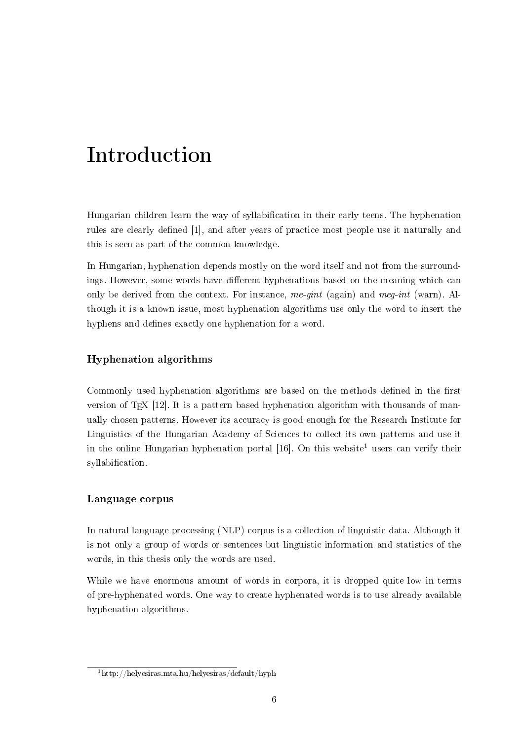## <span id="page-6-0"></span>Introduction

Hungarian children learn the way of syllabification in their early teens. The hyphenation rules are clearly defined [\[1\]](#page-37-1), and after years of practice most people use it naturally and this is seen as part of the common knowledge.

In Hungarian, hyphenation depends mostly on the word itself and not from the surroundings. However, some words have different hyphenations based on the meaning which can only be derived from the context. For instance, me-gint (again) and meg-int (warn). Although it is a known issue, most hyphenation algorithms use only the word to insert the hyphens and defines exactly one hyphenation for a word.

#### Hyphenation algorithms

Commonly used hyphenation algorithms are based on the methods defined in the first version of TEX  $[12]$ . It is a pattern based hyphenation algorithm with thousands of manually chosen patterns. However its accuracy is good enough for the Research Institute for Linguistics of the Hungarian Academy of Sciences to collect its own patterns and use it in the online Hungarian hyphenation portal  $[16]$ . On this website<sup>[1](#page-6-1)</sup> users can verify their syllabification.

#### Language corpus

In natural language processing (NLP) corpus is a collection of linguistic data. Although it is not only a group of words or sentences but linguistic information and statistics of the words, in this thesis only the words are used.

While we have enormous amount of words in corpora, it is dropped quite low in terms of pre-hyphenated words. One way to create hyphenated words is to use already available hyphenation algorithms.

<span id="page-6-1"></span> $1$ http://helyesiras.mta.hu/helyesiras/default/hyph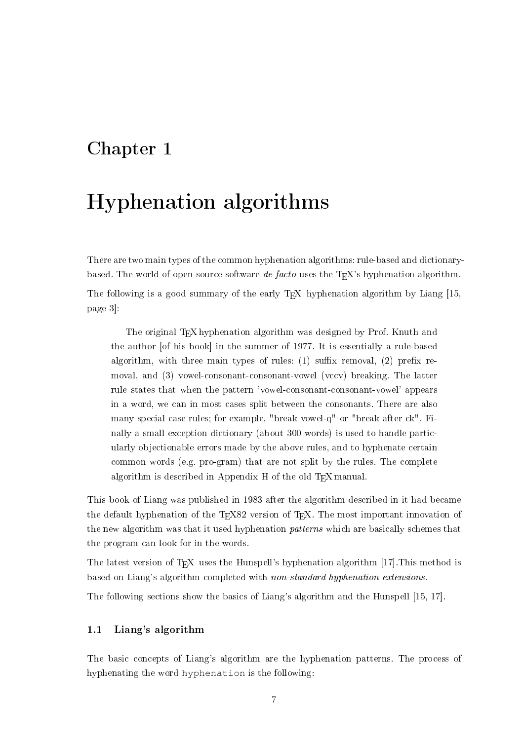### <span id="page-7-0"></span>Chapter 1

## Hyphenation algorithms

There are two main types of the common hyphenation algorithms: rule-based and dictionarybased. The world of open-source software de facto uses the T<sub>E</sub>X's hyphenation algorithm. The following is a good summary of the early T<sub>E</sub>X hyphenation algorithm by Liang [\[15,](#page-38-1) page 3]:

The original T<sub>E</sub>X hyphenation algorithm was designed by Prof. Knuth and the author [of his book] in the summer of 1977. It is essentially a rule-based algorithm, with three main types of rules:  $(1)$  suffix removal,  $(2)$  prefix removal, and (3) vowel-consonant-consonant-vowel (vccv) breaking. The latter rule states that when the pattern 'vowel-consonant-consonant-vowel' appears in a word, we can in most cases split between the consonants. There are also many special case rules; for example, "break vowel-q" or "break after ck". Finally a small exception dictionary (about 300 words) is used to handle particularly objectionable errors made by the above rules, and to hyphenate certain common words (e.g. pro-gram) that are not split by the rules. The complete algorithm is described in Appendix H of the old TEX manual

This book of Liang was published in 1983 after the algorithm described in it had became the default hyphenation of the TEX82 version of TEX. The most important innovation of the new algorithm was that it used hyphenation *patterns* which are basically schemes that the program can look for in the words.

The latest version of T<sub>E</sub>X uses the Hunspell's hyphenation algorithm [\[17\]](#page-38-2). This method is based on Liang's algorithm completed with non-standard hyphenation extensions.

The following sections show the basics of Liang's algorithm and the Hunspell [\[15,](#page-38-1) [17\]](#page-38-2).

#### <span id="page-7-1"></span>1.1 Liang's algorithm

The basic concepts of Liang's algorithm are the hyphenation patterns. The process of hyphenating the word hyphenation is the following: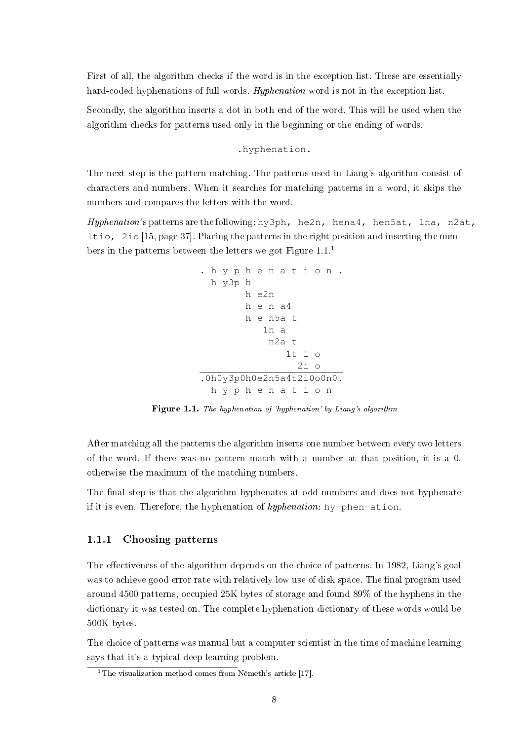First of all, the algorithm checks if the word is in the exception list. These are essentially hard-coded hyphenations of full words. Hyphenation word is not in the exception list.

Secondly, the algorithm inserts a dot in both end of the word. This will be used when the algorithm checks for patterns used only in the beginning or the ending of words.

#### .hyphenation.

The next step is the pattern matching. The patterns used in Liang's algorithm consist of characters and numbers. When it searches for matching patterns in a word, it skips the numbers and compares the letters with the word.

<span id="page-8-1"></span>Hyphenation's patterns are the following: hy3ph, he2n, hena4, hen5at, 1na, n2at, 1tio, 2io [\[15,](#page-38-1) page 37]. Placing the patterns in the right position and inserting the numbers in the patterns between the letters we got Figure  $1.1$  $1.1$ .<sup>1</sup>

```
. h y p h e n a t i o n .
h y3p h
       h e2n
       h e n a4
       h e n5a t
          1n a
           n2a t
               1t i o2i \circ.0h0y3p0h0e2n5a4t2i0o0n0.
 h y-p h e n-a t i o n
```
Figure 1.1. The hyphenation of 'hyphenation' by Liang's algorithm

After matching all the patterns the algorithm inserts one number between every two letters of the word. If there was no pattern match with a number at that position, it is a 0, otherwise the maximum of the matching numbers.

The final step is that the algorithm hyphenates at odd numbers and does not hyphenate if it is even. Therefore, the hyphenation of hyphenation: hy-phen-ation.

#### <span id="page-8-0"></span>1.1.1 Choosing patterns

The effectiveness of the algorithm depends on the choice of patterns. In 1982, Liang's goal was to achieve good error rate with relatively low use of disk space. The final program used around 4500 patterns, occupied 25K bytes of storage and found 89% of the hyphens in the dictionary it was tested on. The complete hyphenation dictionary of these words would be 500K bytes.

The choice of patterns was manual but a computer scientist in the time of machine learning says that it's a typical deep learning problem.

<span id="page-8-2"></span><sup>&</sup>lt;sup>1</sup>The visualization method comes from Németh's article [\[17\]](#page-38-2).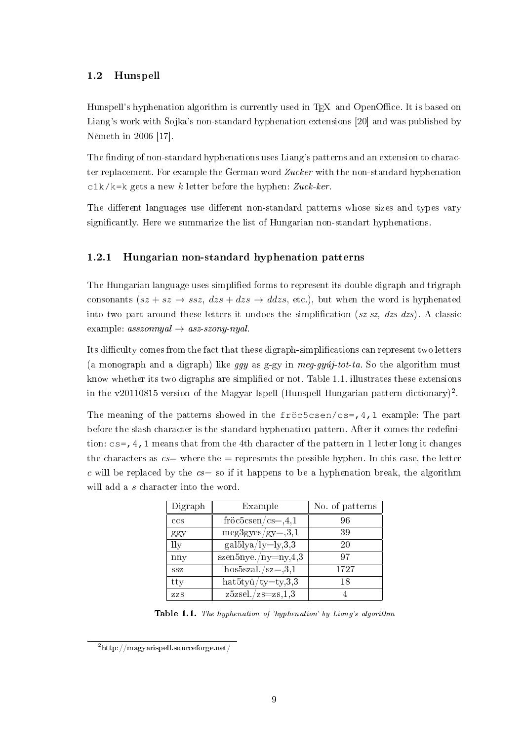#### <span id="page-9-0"></span>1.2 Hunspell

Hunspell's hyphenation algorithm is currently used in T<sub>E</sub>X and OpenOffice. It is based on Liang's work with Sojka's non-standard hyphenation extensions [\[20\]](#page-38-3) and was published by Németh in 2006 [\[17\]](#page-38-2).

The finding of non-standard hyphenations uses Liang's patterns and an extension to character replacement. For example the German word Zucker with the non-standard hyphenation  $c1k/k=k$  gets a new k letter before the hyphen: Zuck-ker.

The different languages use different non-standard patterns whose sizes and types vary significantly. Here we summarize the list of Hungarian non-standart hyphenations.

#### <span id="page-9-1"></span>1.2.1 Hungarian non-standard hyphenation patterns

The Hungarian language uses simplified forms to represent its double digraph and trigraph consonants  $(sz + sz \rightarrow ssz, dzs + dzs \rightarrow ddzs, etc.),$  but when the word is hyphenated into two part around these letters it undoes the simplification  $(sz-sz, dzs-dzs)$ . A classic example:  $asszonnyal \rightarrow ass-szony-nyal$ .

Its difficulty comes from the fact that these digraph-simplifications can represent two letters (a monograph and a digraph) like ggy as g-gy in  $\text{meg-gyúj-tot-ta}$ . So the algorithm must know whether its two digraphs are simplied or not. Table [1.1.](#page-9-2) illustrates these extensions in the v[2](#page-9-3)0110815 version of the Magyar Ispell (Hunspell Hungarian pattern dictionary)<sup>2</sup>.

The meaning of the patterns showed in the fröc5csen/cs=, 4, 1 example: The part before the slash character is the standard hyphenation pattern. After it comes the redenition:  $cs = 4$ , 1 means that from the 4th character of the pattern in 1 letter long it changes the characters as  $cs=$  where the = represents the possible hyphen. In this case, the letter c will be replaced by the  $cs=$  so if it happens to be a hyphenation break, the algorithm will add a s character into the word.

<span id="page-9-2"></span>

| Digraph      | Example                                     | No. of patterns |
|--------------|---------------------------------------------|-----------------|
| ccs          | $fri\ddot{o}c5csen/cs=,4,1$                 | 96              |
| ggy          | $meg3gyes/gy=0,3,1$                         | 39              |
| $_{\rm 1ly}$ | $\text{gal5lya}/\text{ly=} \text{ly,} 3, 3$ | 20              |
| nny          | $szen5nye./ny=ny,4,3$                       | 97              |
| SSZ.         | hos5szal./sz= $,3,1$                        | 1727            |
| tty          | $hat5tyu/ty=ty,3,3$                         | 18              |
| <b>ZZS</b>   | $z5$ zsel./zs=zs,1,3                        |                 |

Table 1.1. The hyphenation of 'hyphenation' by Liang's algorithm

<span id="page-9-3"></span><sup>2</sup>http://magyarispell.sourceforge.net/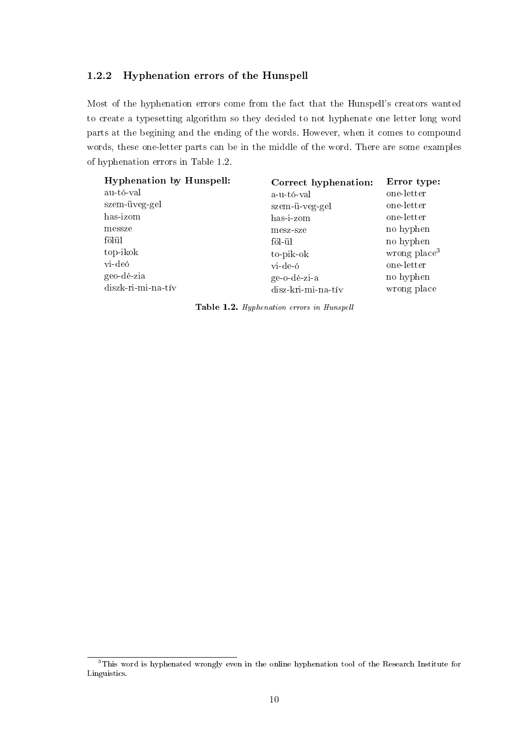#### <span id="page-10-0"></span>1.2.2 Hyphenation errors of the Hunspell

Most of the hyphenation errors come from the fact that the Hunspell's creators wanted to create a typesetting algorithm so they decided to not hyphenate one letter long word parts at the begining and the ending of the words. However, when it comes to compound words, these one-letter parts can be in the middle of the word. There are some examples of hyphenation errors in Table [1.2.](#page-10-1)

<span id="page-10-1"></span>

| <b>Hyphenation by Hunspell:</b> | Correct hyphenation: | Error type:    |
|---------------------------------|----------------------|----------------|
| au-tó-val                       | a-u-tó-val           | one-letter     |
| szem-üveg-gel                   | szem-ü-veg-gel       | one-letter     |
| has-izom                        | has-i-zom            | one-letter     |
| messze                          | mesz-sze             | no hyphen      |
| fölül                           | föl ül               | no hyphen      |
| top-ikok                        | to-pik-ok            | wrong $place3$ |
| vi-deó                          | vi-de-ó              | one-letter     |
| geo-dé-zia                      | ge-o-dé-zi-a         | no hyphen      |
| diszk-ri-mi-na-tív              | disz-kri-mi-na-tív   | wrong place    |

Table 1.2. Hyphenation errors in Hunspell

<span id="page-10-2"></span><sup>3</sup>This word is hyphenated wrongly even in the online hyphenation tool of the Research Institute for Linguistics.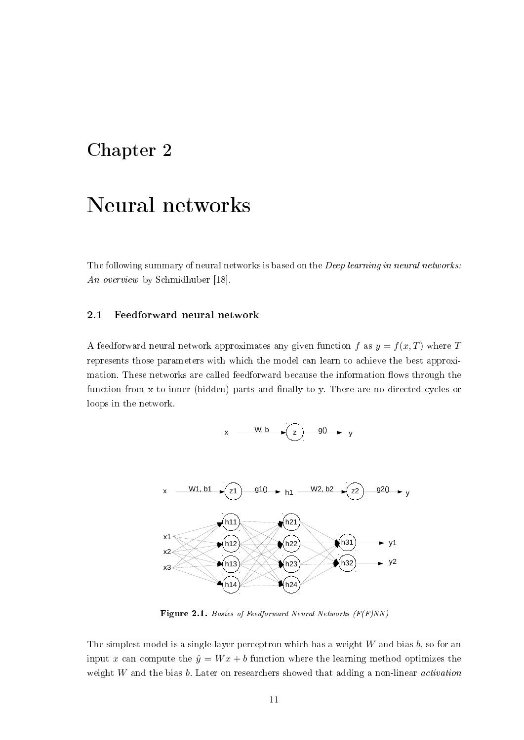### <span id="page-11-0"></span>Chapter 2

### Neural networks

The following summary of neural networks is based on the *Deep learning in neural networks*: An overview by Schmidhuber [\[18\]](#page-38-4).

#### <span id="page-11-1"></span>2.1 Feedforward neural network

<span id="page-11-2"></span>A feedforward neural network approximates any given function f as  $y = f(x, T)$  where T represents those parameters with which the model can learn to achieve the best approximation. These networks are called feedforward because the information flows through the function from x to inner (hidden) parts and finally to y. There are no directed cycles or loops in the network.





Figure 2.1. Basics of Feedforward Neural Networks (F(F)NN)

The simplest model is a single-layer perceptron which has a weight  $W$  and bias  $b$ , so for an input x can compute the  $\hat{y} = Wx + b$  function where the learning method optimizes the weight  $W$  and the bias  $b$ . Later on researchers showed that adding a non-linear *activation*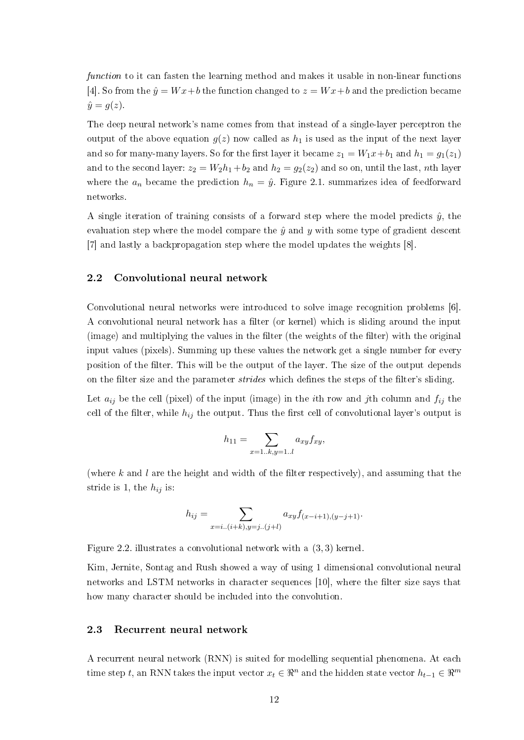function to it can fasten the learning method and makes it usable in non-linear functions [\[4\]](#page-37-3). So from the  $\hat{y} = Wx + b$  the function changed to  $z = Wx + b$  and the prediction became  $\hat{y} = g(z)$ .

The deep neural network's name comes from that instead of a single-layer perceptron the output of the above equation  $g(z)$  now called as  $h_1$  is used as the input of the next layer and so for many-many layers. So for the first layer it became  $z_1 = W_1x + b_1$  and  $h_1 = g_1(z_1)$ and to the second layer:  $z_2 = W_2 h_1 + b_2$  and  $h_2 = g_2(z_2)$  and so on, until the last, nth layer where the  $a_n$  became the prediction  $h_n = \hat{y}$ . Figure [2.1.](#page-11-2) summarizes idea of feedforward networks.

A single iteration of training consists of a forward step where the model predicts  $\hat{y}$ , the evaluation step where the model compare the  $\hat{y}$  and y with some type of gradient descent [\[7\]](#page-37-4) and lastly a backpropagation step where the model updates the weights [\[8\]](#page-37-5).

#### <span id="page-12-0"></span>2.2 Convolutional neural network

Convolutional neural networks were introduced to solve image recognition problems [\[6\]](#page-37-6). A convolutional neural network has a filter (or kernel) which is sliding around the input (image) and multiplying the values in the filter (the weights of the filter) with the original input values (pixels). Summing up these values the network get a single number for every position of the lter. This will be the output of the layer. The size of the output depends on the filter size and the parameter *strides* which defines the steps of the filter's sliding.

Let  $a_{ij}$  be the cell (pixel) of the input (image) in the *i*th row and *j*th column and  $f_{ij}$  the cell of the filter, while  $h_{ij}$  the output. Thus the first cell of convolutional layer's output is

$$
h_{11} = \sum_{x=1..k,y=1..l} a_{xy} f_{xy},
$$

(where k and l are the height and width of the filter respectively), and assuming that the stride is 1, the  $h_{ij}$  is:

$$
h_{ij} = \sum_{x=i..(i+k), y=j..(j+l)} a_{xy} f_{(x-i+1),(y-j+1)}.
$$

Figure [2.2.](#page-13-1) illustrates a convolutional network with a (3, 3) kernel.

Kim, Jernite, Sontag and Rush showed a way of using 1 dimensional convolutional neural networks and LSTM networks in character sequences [\[10\]](#page-37-7), where the filter size says that how many character should be included into the convolution.

#### <span id="page-12-1"></span>2.3 Recurrent neural network

A recurrent neural network (RNN) is suited for modelling sequential phenomena. At each time step t, an RNN takes the input vector  $x_t \in \mathbb{R}^n$  and the hidden state vector  $h_{t-1} \in \mathbb{R}^m$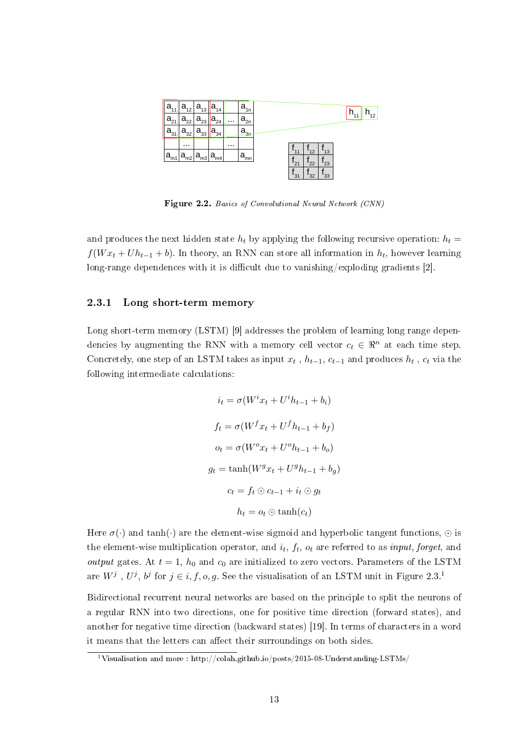<span id="page-13-1"></span>

Figure 2.2. Basics of Convolutional Neural Network (CNN)

and produces the next hidden state  $h_t$  by applying the following recursive operation:  $h_t =$  $f(W x_t + U h_{t-1} + b)$ . In theory, an RNN can store all information in  $h_t$ , however learning long-range dependences with it is difficult due to vanishing/exploding gradients  $[2]$ .

#### <span id="page-13-0"></span>2.3.1 Long short-term memory

Long short-term memory (LSTM) [\[9\]](#page-37-9) addresses the problem of learning long range dependencies by augmenting the RNN with a memory cell vector  $c_t \in \mathbb{R}^n$  at each time step. Concretely, one step of an LSTM takes as input  $x_t$ ,  $h_{t-1}$ ,  $c_{t-1}$  and produces  $h_t$ ,  $c_t$  via the following intermediate calculations:

$$
i_t = \sigma(W^i x_t + U^i h_{t-1} + b_i)
$$
  
\n
$$
f_t = \sigma(W^f x_t + U^f h_{t-1} + b_f)
$$
  
\n
$$
o_t = \sigma(W^o x_t + U^o h_{t-1} + b_o)
$$
  
\n
$$
g_t = \tanh(W^g x_t + U^g h_{t-1} + b_g)
$$
  
\n
$$
c_t = f_t \odot c_{t-1} + i_t \odot g_t
$$
  
\n
$$
h_t = o_t \odot \tanh(c_t)
$$

Here  $\sigma(\cdot)$  and tanh( $\cdot$ ) are the element-wise sigmoid and hyperbolic tangent functions,  $\odot$  is the element-wise multiplication operator, and  $i_t$ ,  $f_t$ ,  $o_t$  are referred to as  $\emph{input},$  forget, and output gates. At  $t = 1$ ,  $h_0$  and  $c_0$  are initialized to zero vectors. Parameters of the LSTM are  $W^j$  ,  $U^j$ ,  $b^j$  for  $j \in i, f, o, g$ . See the visualisation of an LSTM unit in Figure [2.3.](#page-14-2)<sup>[1](#page-13-2)</sup>

Bidirectional recurrent neural networks are based on the principle to split the neurons of a regular RNN into two directions, one for positive time direction (forward states), and another for negative time direction (backward states) [\[19\]](#page-38-5). In terms of characters in a word it means that the letters can affect their surroundings on both sides.

<span id="page-13-2"></span><sup>&</sup>lt;sup>1</sup>Visualisation and more : http://colah.github.io/posts/2015-08-Understanding-LSTMs/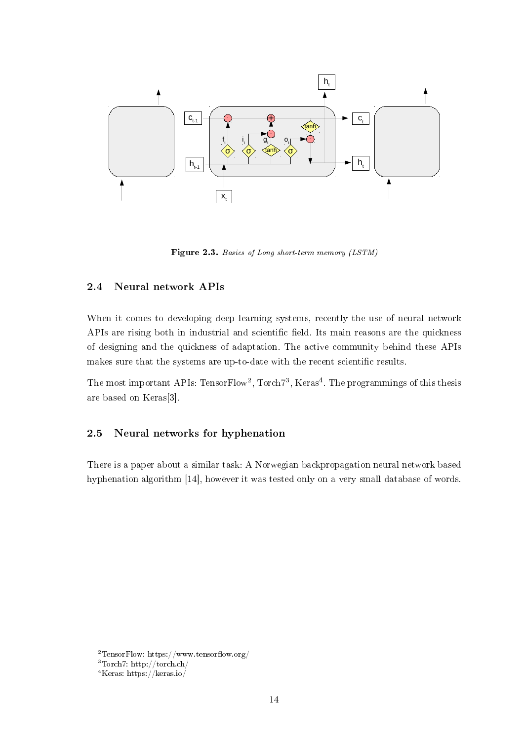<span id="page-14-2"></span>

Figure 2.3. Basics of Long short-term memory (LSTM)

#### <span id="page-14-0"></span>2.4 Neural network APIs

When it comes to developing deep learning systems, recently the use of neural network APIs are rising both in industrial and scientific field. Its main reasons are the quickness of designing and the quickness of adaptation. The active community behind these APIs makes sure that the systems are up-to-date with the recent scientific results.

The most important APIs: TensorFlow<sup>[2](#page-14-3)</sup>, Torch<sup>7[3](#page-14-4)</sup>, Keras<sup>[4](#page-14-5)</sup>. The programmings of this thesis are based on Keras[\[3\]](#page-37-10).

#### <span id="page-14-1"></span>2.5 Neural networks for hyphenation

There is a paper about a similar task: A Norwegian backpropagation neural network based hyphenation algorithm [\[14\]](#page-38-6), however it was tested only on a very small database of words.

<span id="page-14-3"></span> $2$ TensorFlow: https://www.tensorflow.org/

<span id="page-14-4"></span><sup>3</sup>Torch7: http://torch.ch/

<span id="page-14-5"></span><sup>4</sup>Keras: https://keras.io/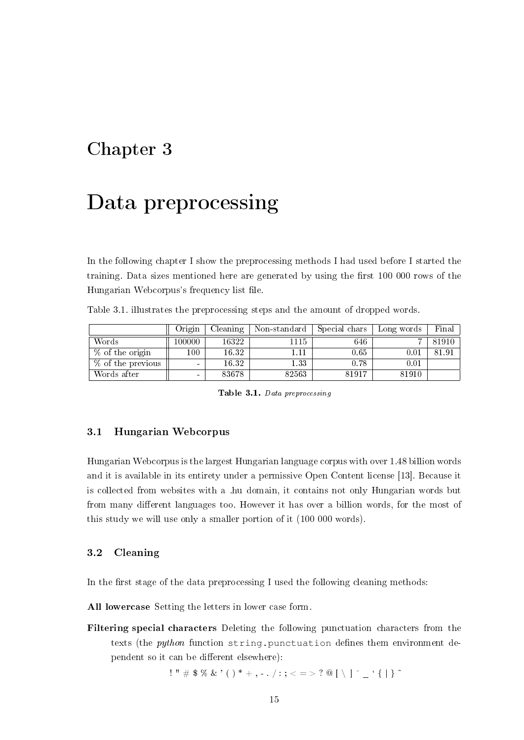### <span id="page-15-0"></span>Chapter 3

### Data preprocessing

In the following chapter I show the preprocessing methods I had used before I started the training. Data sizes mentioned here are generated by using the first  $100\ 000$  rows of the Hungarian Webcorpus's frequency list file.

<span id="page-15-3"></span>

|                    | Origin | Cleaning | Non-standard | Special chars | Long words | Final |
|--------------------|--------|----------|--------------|---------------|------------|-------|
| Words              | 100000 | 16322    | 1115         | 646           |            | 81910 |
| $\%$ of the origin | 00     | 16.32    |              | 0.65          | $0.01\,$   | 81.91 |
| % of the previous  | $\sim$ | 16.32    | 1.33         | 0.78          | 0.01       |       |
| Words after        | $\sim$ | 83678    | 82563        | 81917         | 81910      |       |

Table [3.1.](#page-15-3) illustrates the preprocessing steps and the amount of dropped words.

Table 3.1. Data preprocessing

#### <span id="page-15-1"></span>3.1 Hungarian Webcorpus

Hungarian Webcorpus is the largest Hungarian language corpus with over 1.48 billion words and it is available in its entirety under a permissive Open Content license [\[13\]](#page-38-7). Because it is collected from websites with a .hu domain, it contains not only Hungarian words but from many different languages too. However it has over a billion words, for the most of this study we will use only a smaller portion of it (100 000 words).

#### <span id="page-15-2"></span>3.2 Cleaning

In the first stage of the data preprocessing I used the following cleaning methods:

All lowercase Setting the letters in lower case form.

Filtering special characters Deleting the following punctuation characters from the texts (the *python* function string.punctuation defines them environment dependent so it can be different elsewhere):

$$
!\mathbb{I} \times \mathbb{I} \times \mathbb{S} \times \mathbb{S} \times \mathbb{S} \times \mathbb{S} \times \mathbb{S} \times \mathbb{S} \times \mathbb{S} \times \mathbb{S} \times \mathbb{S} \times \mathbb{S} \times \mathbb{S} \times \mathbb{S} \times \mathbb{S} \times \mathbb{S} \times \mathbb{S} \times \mathbb{S} \times \mathbb{S} \times \mathbb{S} \times \mathbb{S} \times \mathbb{S} \times \mathbb{S} \times \mathbb{S} \times \mathbb{S} \times \mathbb{S} \times \mathbb{S} \times \mathbb{S} \times \mathbb{S} \times \mathbb{S} \times \mathbb{S} \times \mathbb{S} \times \mathbb{S} \times \mathbb{S} \times \mathbb{S} \times \mathbb{S} \times \mathbb{S} \times \mathbb{S} \times \mathbb{S} \times \mathbb{S} \times \mathbb{S} \times \mathbb{S} \times \mathbb{S} \times \mathbb{S} \times \mathbb{S} \times \mathbb{S} \times \mathbb{S} \times \mathbb{S} \times \mathbb{S} \times \mathbb{S} \times \mathbb{S} \times \mathbb{S} \times \mathbb{S} \times \mathbb{S} \times \mathbb{S} \times \mathbb{S} \times \mathbb{S} \times \mathbb{S} \times \mathbb{S} \times \mathbb{S} \times \mathbb{S} \times \mathbb{S} \times \mathbb{S} \times \mathbb{S} \times \mathbb{S} \times \mathbb{S} \times \mathbb{S} \times \mathbb{S} \times \mathbb{S} \times \mathbb{S} \times \mathbb{S} \times \mathbb{S} \times \mathbb{S} \times \mathbb{S} \times \mathbb{S} \times \mathbb{S} \times \mathbb{S} \times \mathbb{S} \times \mathbb{S} \times \mathbb{S} \times \mathbb{S} \times \mathbb{S} \times \mathbb{S} \times \mathbb{S} \times \mathbb{S} \times \mathbb{S} \times \mathbb{S} \times \mathbb{S} \times \mathbb{S} \times \mathbb{S} \times \mathbb{S} \times \mathbb{S} \times \mathbb{S} \times \mathbb{S} \times \mathbb{S} \times \math
$$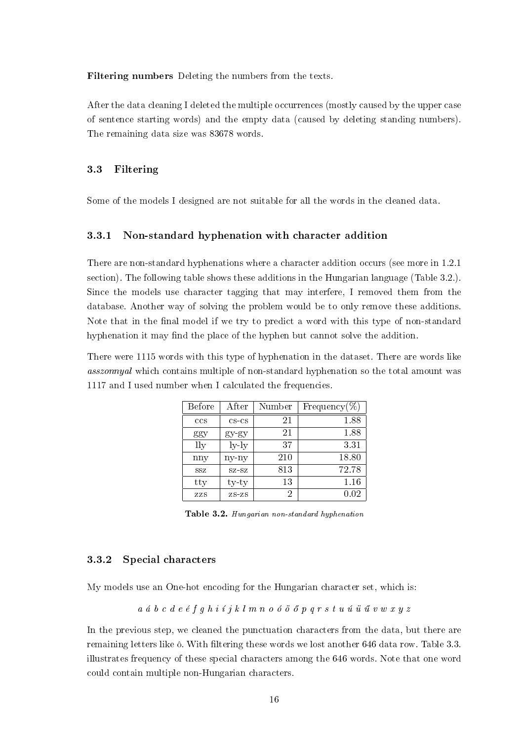Filtering numbers Deleting the numbers from the texts.

After the data cleaning I deleted the multiple occurrences (mostly caused by the upper case of sentence starting words) and the empty data (caused by deleting standing numbers). The remaining data size was 83678 words.

#### <span id="page-16-0"></span>3.3 Filtering

Some of the models I designed are not suitable for all the words in the cleaned data.

#### <span id="page-16-1"></span>3.3.1 Non-standard hyphenation with character addition

There are non-standard hyphenations where a character addition occurs (see more in [1.2.1](#page-9-1) section). The following table shows these additions in the Hungarian language (Table [3.2.](#page-16-3)). Since the models use character tagging that may interfere, I removed them from the database. Another way of solving the problem would be to only remove these additions. Note that in the final model if we try to predict a word with this type of non-standard hyphenation it may find the place of the hyphen but cannot solve the addition.

<span id="page-16-3"></span>There were 1115 words with this type of hyphenation in the dataset. There are words like asszonnyal which contains multiple of non-standard hyphenation so the total amount was 1117 and I used number when I calculated the frequencies.

| <b>Before</b> | After          | Number | Frequency $(\%)$ |
|---------------|----------------|--------|------------------|
| ccs           | $CS$ - $CS$    | 21     | 1.88             |
| ggy           | $gy$ $gy$      | 21     | 1.88             |
| lly           | $_{\rm ly-ly}$ | 37     | 3.31             |
| nny           | ny-ny          | 210    | 18.80            |
| SSZ           | $SZ-SZ$        | 813    | 72.78            |
| tty           | ty-ty          | 13     | 1.16             |
| ZZS           | $ZS-ZS$        | 2      | 0.02             |

Table 3.2. Hungarian non-standard hyphenation

#### <span id="page-16-2"></span>3.3.2 Special characters

My models use an One-hot encoding for the Hungarian character set, which is:

$$
a\;\;a\;\;b\;\;c\;\;d\;\,e\;\;\acute{e}\;\;f\;g\;\;h\;\;i\;\acute{\ }\;j\;\;k\;\,l\;\,m\;\;n\;\;o\;\;\acute{o}\;\;\widetilde{\ }\;\widetilde{\ }\;\,p\;\;q\;\,r\;\,s\;\;t\;\,u\;\;\widetilde{\ }u\;\;\widetilde{\ }u\;\;\widetilde{\ }w\;\,w\;\,x\;\,y\;\,z
$$

In the previous step, we cleaned the punctuation characters from the data, but there are remaining letters like  $\delta$ . With filtering these words we lost another 646 data row. Table [3.3.](#page-17-1) illustrates frequency of these special characters among the 646 words. Note that one word could contain multiple non-Hungarian characters.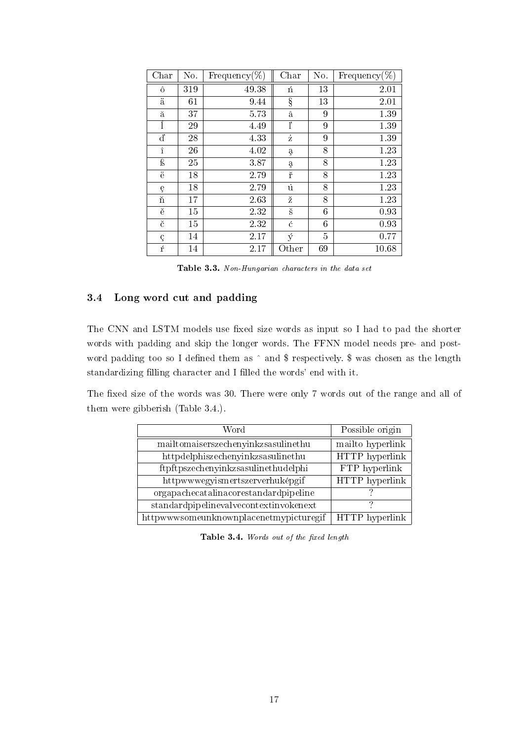<span id="page-17-1"></span>

| Char      | No. | Frequency $(\%)$ | Char      | No. | Frequency $(\%)$ |
|-----------|-----|------------------|-----------|-----|------------------|
| ô         | 319 | 49.38            | ń         | 13  | 2.01             |
| ä         | 61  | 9.44             | ş         | 13  | 2.01             |
| ă         | 37  | 5.73             | â         | 9   | 1.39             |
|           | 29  | 4.49             | ľ         | 9   | 1.39             |
| ď         | 28  | 4.33             | $\dot{z}$ | 9   | 1.39             |
| $\hat{1}$ | 26  | 4.02             | ą         | 8   | 1.23             |
| ß         | 25  | 3.87             | ą         | 8   | 1.23             |
| ë         | 18  | 2.79             | ř         | 8   | 1.23             |
| ę         | 18  | 2.79             | $\dot{u}$ | 8   | 1.23             |
| ň         | 17  | 263              | ž         | 8   | 1.23             |
| ě         | 15  | 2.32             | š         | 6   | 0.93             |
| č         | 15  | 2.32             | ć         | 6   | 0.93             |
| Ç         | 14  | 2.17             | ý         | 5   | 0.77             |
| ŕ         | 14  | 2.17             | Other     | 69  | 10.68            |

Table 3.3. Non-Hungarian characters in the data set

#### <span id="page-17-0"></span>3.4 Long word cut and padding

The CNN and LSTM models use fixed size words as input so I had to pad the shorter words with padding and skip the longer words. The FFNN model needs pre- and postword padding too so I defined them as  $\hat{\ }$  and \$ respectively. \$ was chosen as the length standardizing filling character and I filled the words' end with it.

<span id="page-17-2"></span>The fixed size of the words was 30. There were only 7 words out of the range and all of them were gibberish (Table [3.4.](#page-17-2)).

| Word                                   | Possible origin  |
|----------------------------------------|------------------|
| mailtomaiserszechenyinkzsasulinethu    | mailto hyperlink |
| httpdelphiszechenyinkzsasulinethu      | HTTP hyperlink   |
| ftpftpszechenyinkzsasulinethudelphi    | FTP hyperlink    |
| httpwwwegyismertszerverhuképgif        | HTTP hyperlink   |
| orgapachecatalinacorestandardpipeline  |                  |
| standardpipelinevalvecontextinvokenext |                  |
| httpwwwsomeunknownplacenetmypicturegif | HTTP hyperlink   |

Table 3.4. Words out of the fixed length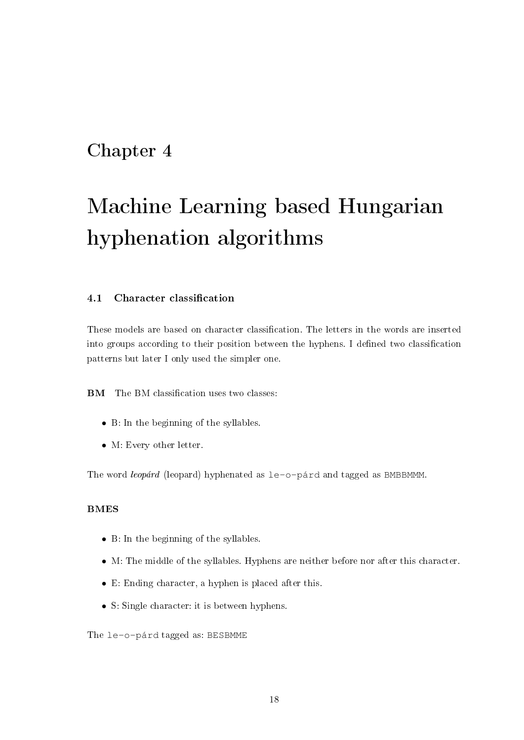### <span id="page-18-0"></span>Chapter 4

# Machine Learning based Hungarian hyphenation algorithms

#### <span id="page-18-1"></span>4.1 Character classification

These models are based on character classification. The letters in the words are inserted into groups according to their position between the hyphens. I defined two classification patterns but later I only used the simpler one.

**BM** The BM classification uses two classes:

- B: In the beginning of the syllables.
- M: Every other letter.

The word *leopárd* (leopard) hyphenated as le-o-párd and tagged as BMBBMMM

#### BMES

- B: In the beginning of the syllables.
- M: The middle of the syllables. Hyphens are neither before nor after this character.
- E: Ending character, a hyphen is placed after this.
- S: Single character: it is between hyphens.

The le-o-párd tagged as: BESBMME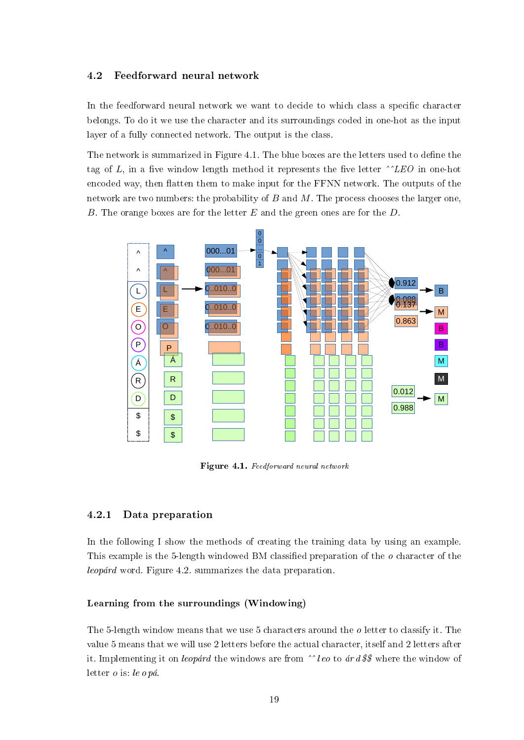#### <span id="page-19-0"></span>4.2 Feedforward neural network

In the feedforward neural network we want to decide to which class a specific character belongs. To do it we use the character and its surroundings coded in one-hot as the input layer of a fully connected network. The output is the class.

The network is summarized in Figure [4.1.](#page-19-2) The blue boxes are the letters used to define the tag of L, in a five window length method it represents the five letter  $\hat{L}ED$  in one-hot encoded way, then flatten them to make input for the FFNN network. The outputs of the network are two numbers: the probability of  $B$  and  $M$ . The process chooses the larger one, B. The orange boxes are for the letter  $E$  and the green ones are for the  $D$ .

<span id="page-19-2"></span>

Figure 4.1. Feedforward neural network

#### <span id="page-19-1"></span>4.2.1 Data preparation

In the following I show the methods of creating the training data by using an example. This example is the 5-length windowed BM classified preparation of the  $o$  character of the leopárd word. Figure [4.2.](#page-20-0) summarizes the data preparation.

#### Learning from the surroundings (Windowing)

The 5-length window means that we use 5 characters around the  $\delta$  letter to classify it. The value 5 means that we will use 2 letters before the actual character, itself and 2 letters after it. Implementing it on leopárd the windows are from  $\hat{ }$ leo to ár d\$\$ where the window of letter o is: le o pá.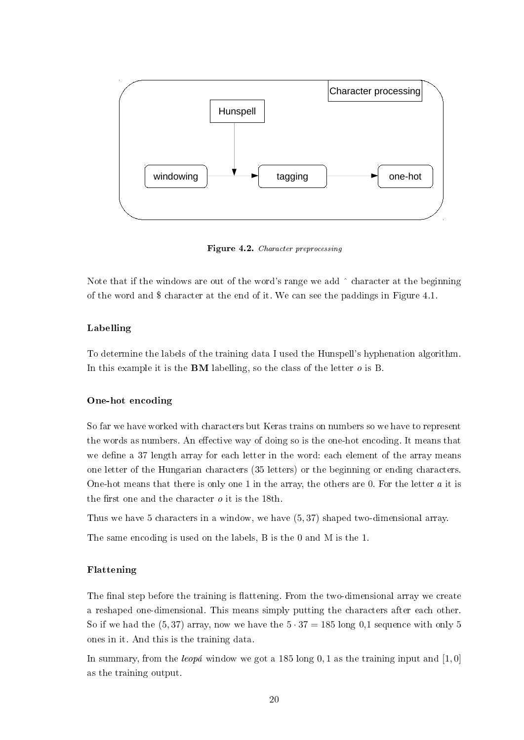<span id="page-20-0"></span>

Figure 4.2. Character preprocessing

Note that if the windows are out of the word's range we add  $\hat{ }$  character at the beginning of the word and \$ character at the end of it. We can see the paddings in Figure [4.1.](#page-19-2)

#### Labelling

To determine the labels of the training data I used the Hunspell's hyphenation algorithm. In this example it is the **BM** labelling, so the class of the letter  $o$  is B.

#### One-hot encoding

So far we have worked with characters but Keras trains on numbers so we have to represent the words as numbers. An effective way of doing so is the one-hot encoding. It means that we define a 37 length array for each letter in the word: each element of the array means one letter of the Hungarian characters (35 letters) or the beginning or ending characters. One-hot means that there is only one 1 in the array, the others are 0. For the letter a it is the first one and the character  $\rho$  it is the 18th.

Thus we have 5 characters in a window, we have (5, 37) shaped two-dimensional array.

The same encoding is used on the labels, B is the 0 and M is the 1.

#### Flattening

The final step before the training is flattening. From the two-dimensional array we create a reshaped one-dimensional. This means simply putting the characters after each other. So if we had the  $(5, 37)$  array, now we have the  $5 \cdot 37 = 185$  long 0,1 sequence with only 5 ones in it. And this is the training data.

In summary, from the *leopa* window we got a 185 long 0, 1 as the training input and [1,0] as the training output.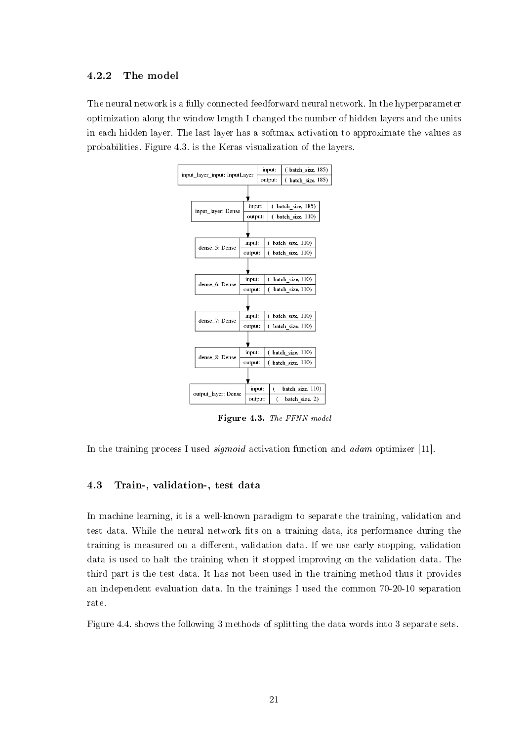#### <span id="page-21-0"></span>4.2.2 The model

<span id="page-21-2"></span>The neural network is a fully connected feedforward neural network. In the hyperparameter optimization along the window length I changed the number of hidden layers and the units in each hidden layer. The last layer has a softmax activation to approximate the values as probabilities. Figure [4.3.](#page-21-2) is the Keras visualization of the layers.



Figure 4.3. The FFNN model

In the training process I used *sigmoid* activation function and *adam* optimizer [\[11\]](#page-37-11).

#### <span id="page-21-1"></span>4.3 Train-, validation-, test data

In machine learning, it is a well-known paradigm to separate the training, validation and test data. While the neural network fits on a training data, its performance during the training is measured on a different, validation data. If we use early stopping, validation data is used to halt the training when it stopped improving on the validation data. The third part is the test data. It has not been used in the training method thus it provides an independent evaluation data. In the trainings I used the common 70-20-10 separation rate.

Figure [4.4.](#page-22-3) shows the following 3 methods of splitting the data words into 3 separate sets.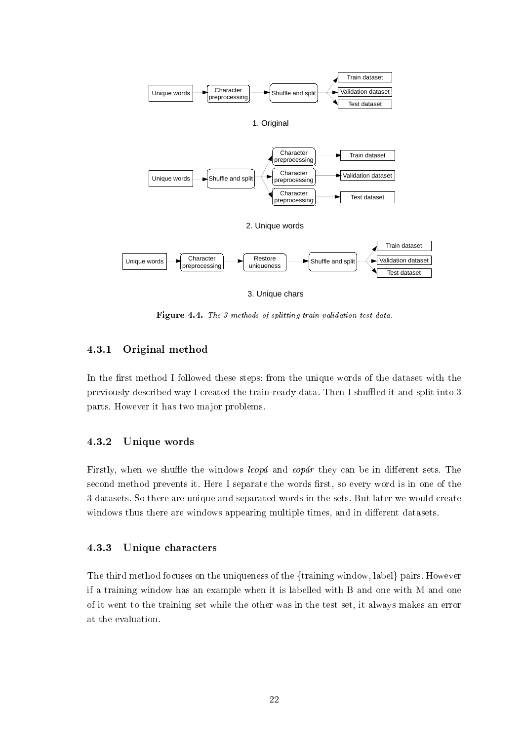<span id="page-22-3"></span>

3. Unique chars

Figure 4.4. The 3 methods of splitting train-validation-test data.

#### <span id="page-22-0"></span>4.3.1 Original method

In the first method I followed these steps: from the unique words of the dataset with the previously described way I created the train-ready data. Then I shuffled it and split into 3 parts. However it has two major problems.

#### <span id="page-22-1"></span>4.3.2 Unique words

Firstly, when we shuffle the windows *leopá* and *eopár* they can be in different sets. The second method prevents it. Here I separate the words first, so every word is in one of the 3 datasets. So there are unique and separated words in the sets. But later we would create windows thus there are windows appearing multiple times, and in different datasets.

#### <span id="page-22-2"></span>4.3.3 Unique characters

The third method focuses on the uniqueness of the {training window, label} pairs. However if a training window has an example when it is labelled with B and one with M and one of it went to the training set while the other was in the test set, it always makes an error at the evaluation.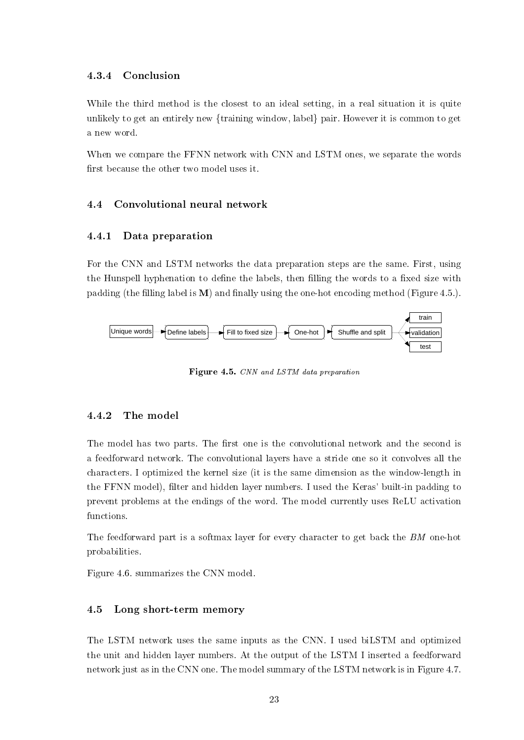#### <span id="page-23-0"></span>4.3.4 Conclusion

While the third method is the closest to an ideal setting, in a real situation it is quite unlikely to get an entirely new {training window, label} pair. However it is common to get a new word.

When we compare the FFNN network with CNN and LSTM ones, we separate the words first because the other two model uses it.

#### <span id="page-23-1"></span>4.4 Convolutional neural network

#### <span id="page-23-2"></span>4.4.1 Data preparation

For the CNN and LSTM networks the data preparation steps are the same. First, using the Hunspell hyphenation to define the labels, then filling the words to a fixed size with padding (the filling label is  $M$ ) and finally using the one-hot encoding method (Figure [4.5.](#page-23-5)).

<span id="page-23-5"></span>

Figure 4.5. CNN and LSTM data preparation

#### <span id="page-23-3"></span>4.4.2 The model

The model has two parts. The first one is the convolutional network and the second is a feedforward network. The convolutional layers have a stride one so it convolves all the characters. I optimized the kernel size (it is the same dimension as the window-length in the FFNN model), filter and hidden layer numbers. I used the Keras' built-in padding to prevent problems at the endings of the word. The model currently uses ReLU activation functions.

The feedforward part is a softmax layer for every character to get back the BM one-hot probabilities.

Figure [4.6.](#page-24-0) summarizes the CNN model.

#### <span id="page-23-4"></span>4.5 Long short-term memory

The LSTM network uses the same inputs as the CNN. I used biLSTM and optimized the unit and hidden layer numbers. At the output of the LSTM I inserted a feedforward network just as in the CNN one. The model summary of the LSTM network is in Figure [4.7.](#page-25-0)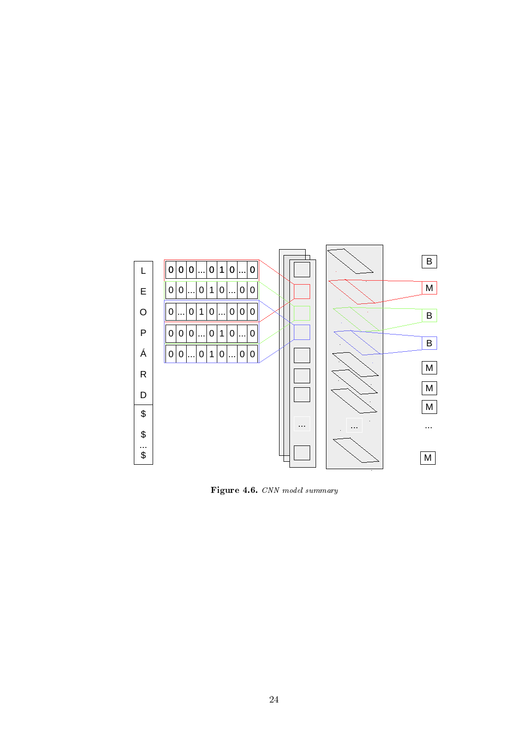<span id="page-24-0"></span>

Figure 4.6. CNN model summary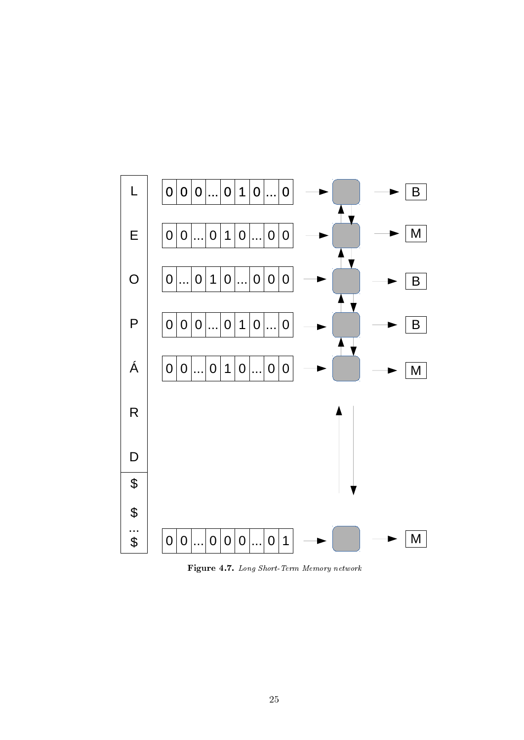<span id="page-25-0"></span>

Figure 4.7. Long Short-Term Memory network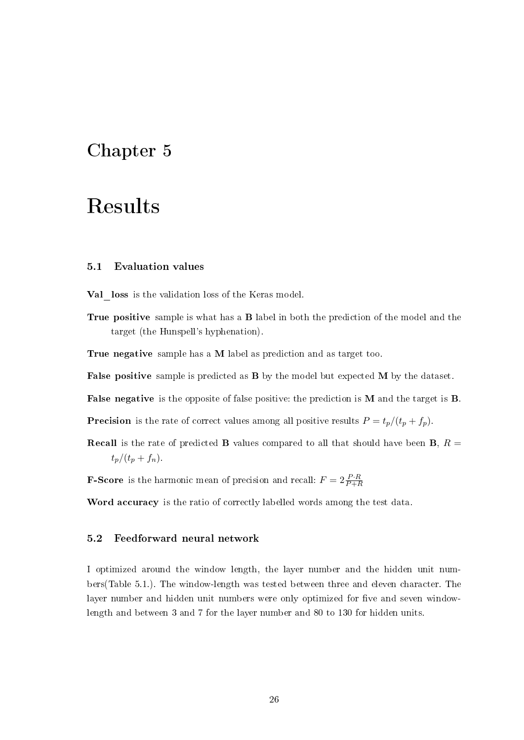### <span id="page-26-0"></span>Chapter 5

### Results

#### <span id="page-26-1"></span>5.1 Evaluation values

Val loss is the validation loss of the Keras model.

True positive sample is what has a **B** label in both the prediction of the model and the target (the Hunspell's hyphenation).

True negative sample has a M label as prediction and as target too.

False positive sample is predicted as **B** by the model but expected **M** by the dataset.

False negative is the opposite of false positive: the prediction is M and the target is B.

**Precision** is the rate of correct values among all positive results  $P = t_p/(t_p + f_p)$ .

**Recall** is the rate of predicted **B** values compared to all that should have been **B**,  $R =$  $t_p/(t_p + f_n)$ .

**F-Score** is the harmonic mean of precision and recall:  $F = 2 \frac{P \cdot R}{P + R}$ 

Word accuracy is the ratio of correctly labelled words among the test data.

#### <span id="page-26-2"></span>5.2 Feedforward neural network

I optimized around the window length, the layer number and the hidden unit numbers(Table [5.1.](#page-27-0)). The window-length was tested between three and eleven character. The layer number and hidden unit numbers were only optimized for five and seven windowlength and between 3 and 7 for the layer number and 80 to 130 for hidden units.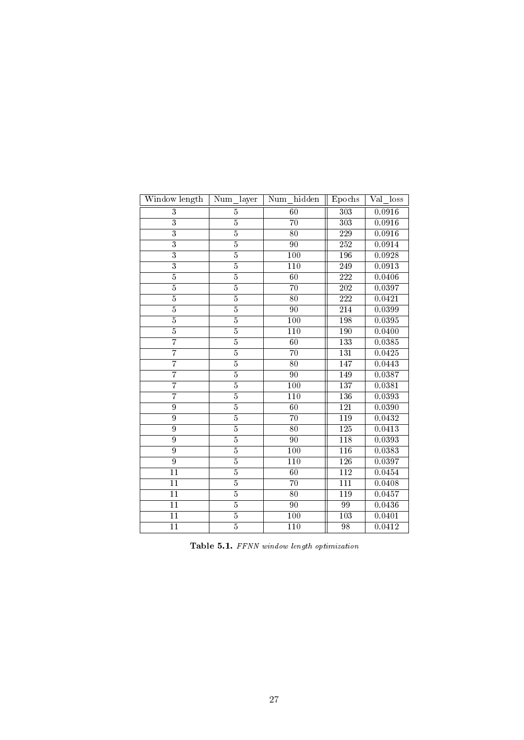<span id="page-27-0"></span>

| Window length             | Num layer      | hidden<br>Num    | Epochs           | Val<br>loss         |
|---------------------------|----------------|------------------|------------------|---------------------|
| $\overline{3}$            | $\overline{5}$ | 60               | $\overline{303}$ | 0.0916              |
| $\overline{\overline{3}}$ | $\overline{5}$ | 70               | $\overline{303}$ | 0.0916              |
| $\overline{\textbf{3}}$   | $\overline{5}$ | $\overline{80}$  | $\overline{229}$ | 0.0916              |
| $\overline{3}$            | $\overline{5}$ | $\overline{90}$  | $\overline{252}$ | 0.0914              |
| $\overline{\overline{3}}$ | $\overline{5}$ | $\overline{100}$ | 196              | $0.\overline{0928}$ |
| $\overline{3}$            | $\overline{5}$ | $\overline{110}$ | 249              | 0.0913              |
| $\overline{5}$            | $\overline{5}$ | 60               | $\overline{222}$ | 0.0406              |
| $\overline{5}$            | $\overline{5}$ | $\overline{70}$  | $\overline{202}$ | 0.0397              |
| $\overline{5}$            | $\overline{5}$ | $\overline{80}$  | 222              | 0.0421              |
| $\overline{5}$            | $\overline{5}$ | $\overline{90}$  | 214              | 0.0399              |
| $\overline{5}$            | $\overline{5}$ | 100              | 198              | 0.0395              |
| $\overline{5}$            | $\overline{5}$ | 110              | 190              | 0.0400              |
| 7                         | $\overline{5}$ | 60               | 133              | 0.0385              |
| $\overline{7}$            | $\overline{5}$ | 70               | 131              | 0.0425              |
| $\overline{7}$            | $\overline{5}$ | $\overline{80}$  | 147              | 0.0443              |
| 7                         | $\overline{5}$ | $\overline{90}$  | 149              | 0.0387              |
| 7                         | $\overline{5}$ | 100              | $\overline{137}$ | 0.0381              |
| 7                         | $\overline{5}$ | $\overline{110}$ | 136              | 0.0393              |
| 9                         | $\overline{5}$ | $\overline{60}$  | $\overline{121}$ | $0.\overline{0390}$ |
| $\overline{9}$            | $\overline{5}$ | $\overline{70}$  | $\overline{119}$ | $0.\overline{0432}$ |
| $\overline{9}$            | $\overline{5}$ | $\overline{80}$  | $\overline{125}$ | 0.0413              |
| $\overline{9}$            | $\overline{5}$ | $\overline{90}$  | $\overline{118}$ | 0.0393              |
| $\overline{9}$            | $\overline{5}$ | $\overline{100}$ | $\overline{116}$ | 0.0383              |
| $\overline{9}$            | $\overline{5}$ | $\overline{110}$ | 126              | 0.0397              |
| $\overline{11}$           | $\overline{5}$ | $\overline{60}$  | $\overline{112}$ | 0.0454              |
| $\overline{11}$           | $\overline{5}$ | $\overline{70}$  | $\overline{111}$ | 0.0408              |
| $\overline{11}$           | $\overline{5}$ | $\overline{80}$  | 119              | 0.0457              |
| $\overline{11}$           | $\overline{5}$ | $\overline{90}$  | $\overline{99}$  | 0.0436              |
| $\overline{11}$           | $\overline{5}$ | $\overline{100}$ | $\overline{103}$ | 0.0401              |
| $\overline{11}$           | $\overline{5}$ | $\overline{110}$ | $\overline{98}$  | 0.0412              |

Table 5.1. FFNN window length optimization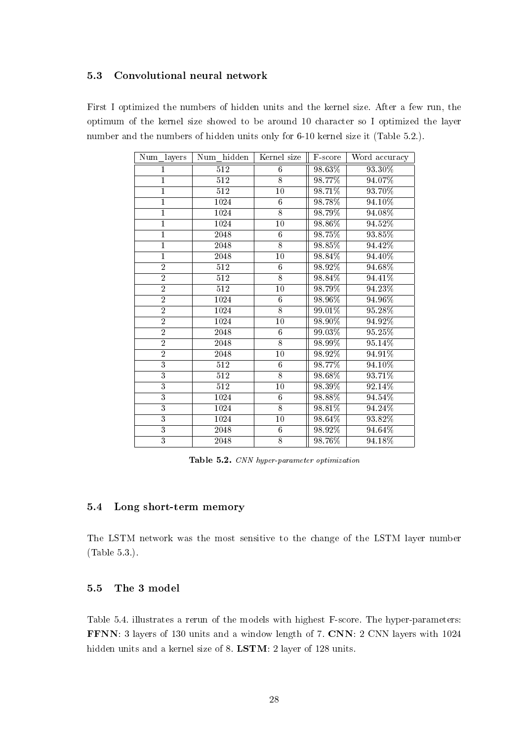#### <span id="page-28-0"></span>5.3 Convolutional neural network

<span id="page-28-3"></span>First I optimized the numbers of hidden units and the kernel size. After a few run, the optimum of the kernel size showed to be around 10 character so I optimized the layer number and the numbers of hidden units only for 6-10 kernel size it (Table [5.2.](#page-28-3)).

| Num layers     | Num hidden        | Kernel size     | F-score | Word accuracy |
|----------------|-------------------|-----------------|---------|---------------|
| 1              | $\overline{512}$  | 6               | 98.63%  | 93.30%        |
| $\overline{1}$ | $\overline{512}$  | $\overline{8}$  | 98.77%  | 94.07%        |
| $\overline{1}$ | $\overline{512}$  | $\overline{10}$ | 98.71%  | 93.70%        |
| $\mathbf{1}$   | 1024              | $\overline{6}$  | 98.78%  | 94.10%        |
| $\overline{1}$ | 1024              | $\overline{8}$  | 98.79%  | $94.08\%$     |
| $\mathbf{1}$   | 1024              | $\overline{10}$ | 98.86%  | 94.52%        |
| $\overline{1}$ | $\overline{2048}$ | $\overline{6}$  | 98.75%  | 93.85%        |
| $\overline{1}$ | 2048              | $\overline{8}$  | 98.85%  | 94.42%        |
| $\overline{1}$ | 2048              | $\overline{10}$ | 98.84%  | 94.40%        |
| $\overline{2}$ | 512               | $\overline{6}$  | 98.92%  | 94.68%        |
| $\overline{2}$ | $\overline{512}$  | $\overline{8}$  | 98.84%  | 94.41%        |
| $\overline{2}$ | $\overline{512}$  | 10              | 98.79%  | 94.23%        |
| $\overline{2}$ | 1024              | $\overline{6}$  | 98.96%  | 94.96%        |
| $\overline{2}$ | 1024              | $\overline{8}$  | 99.01%  | 95.28%        |
| $\overline{2}$ | 1024              | $\overline{10}$ | 98.90%  | 94.92%        |
| $\overline{2}$ | 2048              | $\overline{6}$  | 99.03%  | 95.25%        |
| $\overline{2}$ | 2048              | $\overline{8}$  | 98.99%  | 95.14%        |
| $\overline{2}$ | 2048              | $\overline{10}$ | 98.92%  | 94.91%        |
| $\overline{3}$ | 512               | $\overline{6}$  | 98.77%  | 94.10%        |
| $\overline{3}$ | 512               | $\overline{8}$  | 98.68%  | 93.71%        |
| $\overline{3}$ | $\overline{512}$  | 10              | 98.39%  | 92.14%        |
| $\overline{3}$ | 1024              | $\overline{6}$  | 98.88%  | 94.54%        |
| $\overline{3}$ | 1024              | $\overline{8}$  | 98.81%  | 94.24%        |
| $\overline{3}$ | 1024              | $\overline{10}$ | 98.64%  | 93.82%        |
| $\overline{3}$ | 2048              | $\overline{6}$  | 98.92%  | 94.64%        |
| $\overline{3}$ | 2048              | $\overline{8}$  | 98.76%  | 94.18%        |

Table 5.2. CNN hyper-parameter optimization

#### <span id="page-28-1"></span>5.4 Long short-term memory

The LSTM network was the most sensitive to the change of the LSTM layer number (Table [5.3.](#page-29-0)).

#### <span id="page-28-2"></span>5.5 The 3 model

Table [5.4.](#page-29-1) illustrates a rerun of the models with highest F-score. The hyper-parameters: FFNN: 3 layers of 130 units and a window length of 7. CNN: 2 CNN layers with 1024 hidden units and a kernel size of 8. LSTM: 2 layer of 128 units.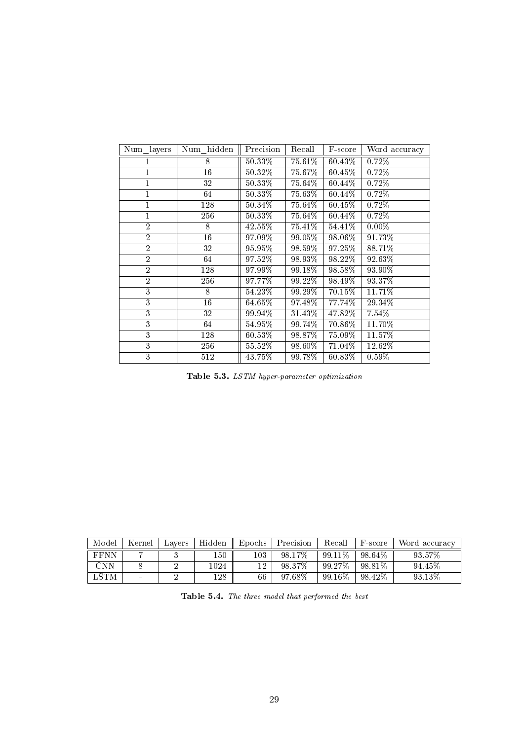<span id="page-29-0"></span>

| Num layers     | Num hidden      | Precision | Recall    | F-score   | Word accuracy |
|----------------|-----------------|-----------|-----------|-----------|---------------|
| 1              | 8               | $50.33\%$ | 75.61%    | 60.43%    | 0.72%         |
| 1              | 16              | 50.32%    | 75.67%    | 60.45%    | 0.72%         |
| 1              | 32              | $50.33\%$ | 75.64%    | 60.44%    | 0.72%         |
| 1              | 64              | $50.33\%$ | 75.63%    | 60.44%    | 0.72%         |
| $\mathbf{1}$   | 128             | $50.34\%$ | $75.64\%$ | $60.45\%$ | 0.72%         |
| 1              | 256             | $50.33\%$ | 75.64%    | 60.44%    | 0.72%         |
| $\overline{2}$ | 8               | $42.55\%$ | 75.41%    | 54.41%    | $0.00\%$      |
| $\overline{2}$ | $\overline{16}$ | 97.09%    | 99.05%    | 98.06%    | 91.73%        |
| $\overline{2}$ | 32              | $95.95\%$ | 98.59%    | 97.25%    | 88.71%        |
| $\overline{2}$ | 64              | 97.52%    | 98.93%    | 98.22%    | 92.63%        |
| $\overline{2}$ | 128             | 97.99%    | 99.18%    | 98.58%    | 93.90%        |
| $\overline{2}$ | 256             | 97.77%    | 99.22%    | 98.49%    | 93.37%        |
| $\overline{3}$ | 8               | $54.23\%$ | 99.29%    | 70.15%    | 11.71%        |
| $\overline{3}$ | 16              | $64.65\%$ | 97.48%    | $77.74\%$ | 29.34%        |
| 3              | 32              | 99.94%    | 31.43%    | 47.82%    | 7.54%         |
| 3              | 64              | $54.95\%$ | 99.74%    | 70.86%    | 11.70%        |
| $\overline{3}$ | 128             | $60.53\%$ | 98.87%    | $75.09\%$ | 11.57%        |
| $\overline{3}$ | 256             | $55.52\%$ | $98.60\%$ | 71.04%    | 12.62%        |
| $\overline{3}$ | 512             | 43.75%    | 99.78%    | 60.83%    | $0.59\%$      |

Table 5.3. LSTM hyper-parameter optimization

<span id="page-29-1"></span>

| Model       | Kernel                   | Lavers | Hidden | Epochs | Precision | Recall    | F-score   | Word accuracy |
|-------------|--------------------------|--------|--------|--------|-----------|-----------|-----------|---------------|
| <b>FFNN</b> |                          |        | 150    | 103    | 98.17%    | 99.11\%   | 98.64%    | 93.57%        |
| CNN         |                          |        | 1024   |        | 98.37%    | 99.27%    | 98.81%    | 94.45%        |
| <b>LSTM</b> | $\overline{\phantom{a}}$ |        | 128    | 66     | 97.68%    | $99.16\%$ | $98.42\%$ | 93.13\%       |

Table 5.4. The three model that performed the best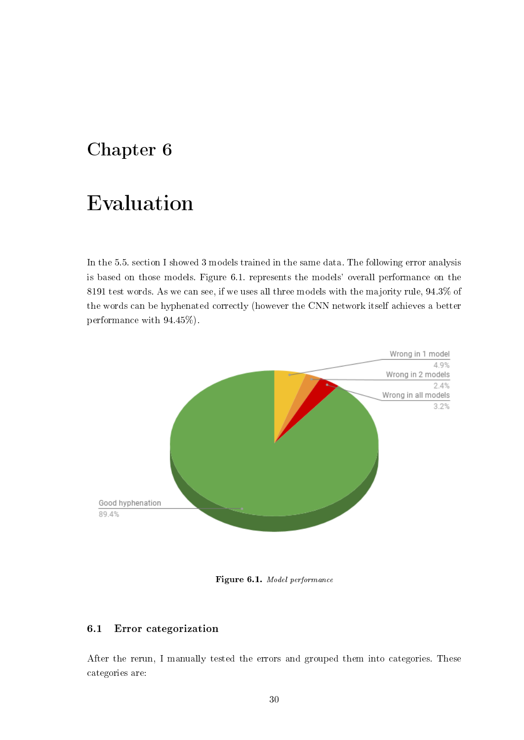### <span id="page-30-0"></span>Chapter 6

## Evaluation

In the [5.5.](#page-28-2) section I showed 3 models trained in the same data. The following error analysis is based on those models. Figure [6.1.](#page-30-2) represents the models' overall performance on the 8191 test words. As we can see, if we uses all three models with the majority rule, 94.3% of the words can be hyphenated correctly (however the CNN network itself achieves a better performance with 94.45%).

<span id="page-30-2"></span>

Figure 6.1. Model performance

#### <span id="page-30-1"></span>6.1 Error categorization

After the rerun, I manually tested the errors and grouped them into categories. These categories are: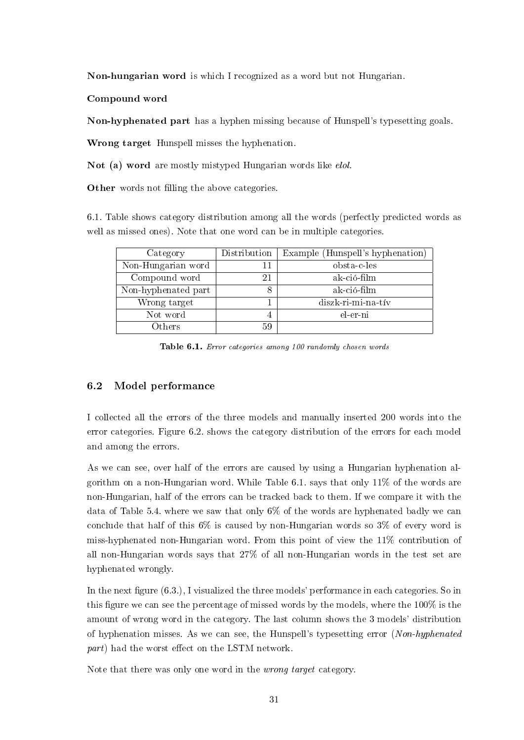Non-hungarian word is which I recognized as a word but not Hungarian.

Compound word

Non-hyphenated part has a hyphen missing because of Hunspell's typesetting goals.

Wrong target Hunspell misses the hyphenation.

Not (a) word are mostly mistyped Hungarian words like *elol*.

**Other** words not filling the above categories.

[6.1.](#page-31-1) Table shows category distribution among all the words (perfectly predicted words as well as missed ones). Note that one word can be in multiple categories.

<span id="page-31-1"></span>

| Category            | Distribution | Example (Hunspell's hyphenation) |
|---------------------|--------------|----------------------------------|
| Non-Hungarian word  |              | obsta-c-les                      |
| Compound word       | 21           | ak-ció-film                      |
| Non-hyphenated part | 8            | ak-ció-film                      |
| Wrong target        |              | diszk-ri-mi-na-tív               |
| Not word            | 4            | el-er-ni                         |
| Others              | 59           |                                  |

Table 6.1. Error categories among 100 randomly chosen words

#### <span id="page-31-0"></span>6.2 Model performance

I collected all the errors of the three models and manually inserted 200 words into the error categories. Figure [6.2.](#page-32-0) shows the category distribution of the errors for each model and among the errors.

As we can see, over half of the errors are caused by using a Hungarian hyphenation algorithm on a non-Hungarian word. While Table [6.1.](#page-31-1) says that only 11% of the words are non-Hungarian, half of the errors can be tracked back to them. If we compare it with the data of Table [5.4.](#page-29-1) where we saw that only 6% of the words are hyphenated badly we can conclude that half of this 6% is caused by non-Hungarian words so 3% of every word is miss-hyphenated non-Hungarian word. From this point of view the 11% contribution of all non-Hungarian words says that 27% of all non-Hungarian words in the test set are hyphenated wrongly.

In the next figure  $(6.3.)$  $(6.3.)$ , I visualized the three models' performance in each categories. So in this figure we can see the percentage of missed words by the models, where the  $100\%$  is the amount of wrong word in the category. The last column shows the 3 models' distribution of hyphenation misses. As we can see, the Hunspell's typesetting error (Non-hyphenated  $part$ ) had the worst effect on the LSTM network.

Note that there was only one word in the *wrong target* category.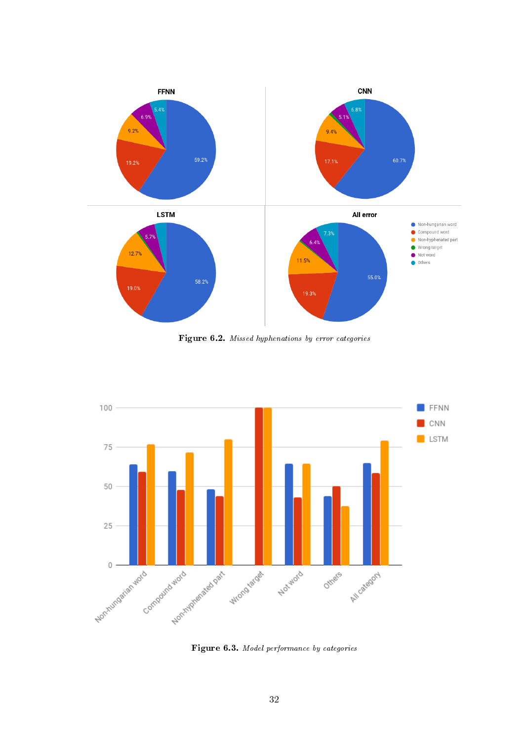<span id="page-32-0"></span>

Figure 6.2. Missed hyphenations by error categories

<span id="page-32-1"></span>

Figure 6.3. Model performance by categories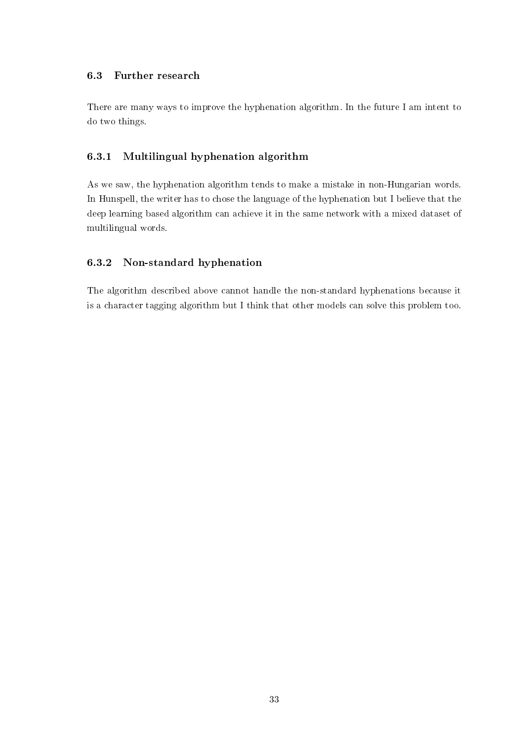#### <span id="page-33-0"></span>6.3 Further research

There are many ways to improve the hyphenation algorithm. In the future I am intent to do two things.

#### <span id="page-33-1"></span>6.3.1 Multilingual hyphenation algorithm

As we saw, the hyphenation algorithm tends to make a mistake in non-Hungarian words. In Hunspell, the writer has to chose the language of the hyphenation but I believe that the deep learning based algorithm can achieve it in the same network with a mixed dataset of multilingual words.

#### <span id="page-33-2"></span>6.3.2 Non-standard hyphenation

The algorithm described above cannot handle the non-standard hyphenations because it is a character tagging algorithm but I think that other models can solve this problem too.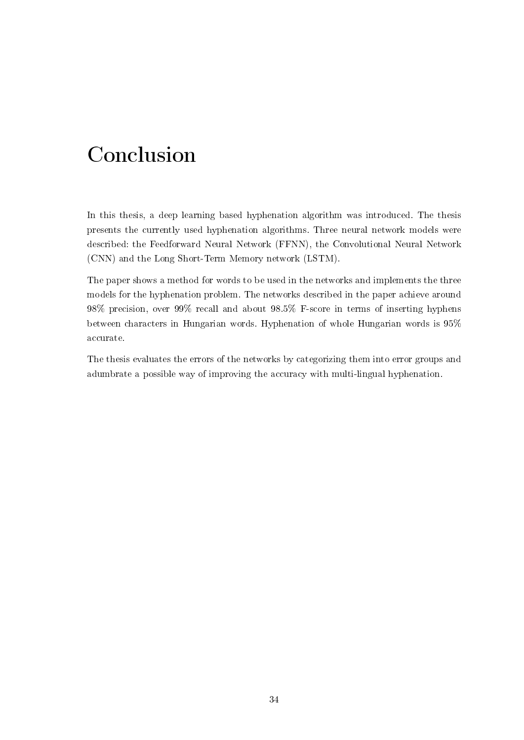## <span id="page-34-0"></span>Conclusion

In this thesis, a deep learning based hyphenation algorithm was introduced. The thesis presents the currently used hyphenation algorithms. Three neural network models were described: the Feedforward Neural Network (FFNN), the Convolutional Neural Network (CNN) and the Long Short-Term Memory network (LSTM).

The paper shows a method for words to be used in the networks and implements the three models for the hyphenation problem. The networks described in the paper achieve around 98% precision, over 99% recall and about 98.5% F-score in terms of inserting hyphens between characters in Hungarian words. Hyphenation of whole Hungarian words is 95% accurate.

The thesis evaluates the errors of the networks by categorizing them into error groups and adumbrate a possible way of improving the accuracy with multi-lingual hyphenation.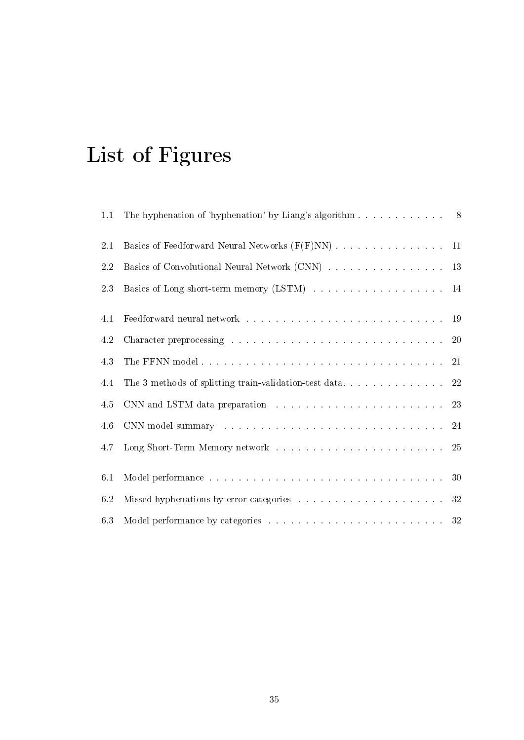# <span id="page-35-0"></span>List of Figures

| 1.1 | The hyphenation of 'hyphenation' by Liang's algorithm 8                                                                                                                                                                        |        |
|-----|--------------------------------------------------------------------------------------------------------------------------------------------------------------------------------------------------------------------------------|--------|
| 2.1 |                                                                                                                                                                                                                                |        |
| 2.2 | Basics of Convolutional Neural Network (CNN) 13                                                                                                                                                                                |        |
| 23  | Basics of Long short-term memory (LSTM) 14                                                                                                                                                                                     |        |
| 4.1 |                                                                                                                                                                                                                                |        |
| 4.2 | Character preprocessing $\ldots \ldots \ldots \ldots \ldots \ldots \ldots \ldots \ldots \ldots \ldots 20$                                                                                                                      |        |
| 4.3 |                                                                                                                                                                                                                                |        |
| 4.4 |                                                                                                                                                                                                                                |        |
| 4.5 |                                                                                                                                                                                                                                |        |
| 4.6 | CNN model summary resources and contract the contract of the contract of $24$                                                                                                                                                  |        |
| 4.7 |                                                                                                                                                                                                                                | 25     |
| 6.1 | Model performance research and containing a series of the contact of the contact of the contact of the contact of the contact of the contact of the contact of the contact of the contact of the contact of the contact of the | 30     |
| 6.2 |                                                                                                                                                                                                                                | $32\,$ |
| 6.3 |                                                                                                                                                                                                                                | 32     |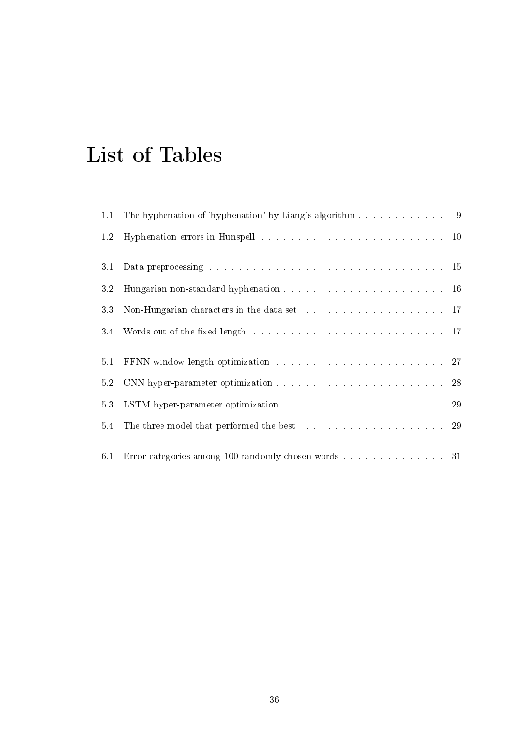## <span id="page-36-0"></span>List of Tables

| 1.1 | The hyphenation of 'hyphenation' by Liang's algorithm 9                                                                                                                                                                        |  |
|-----|--------------------------------------------------------------------------------------------------------------------------------------------------------------------------------------------------------------------------------|--|
| 1.2 |                                                                                                                                                                                                                                |  |
| 3.1 |                                                                                                                                                                                                                                |  |
| 3.2 |                                                                                                                                                                                                                                |  |
| 33  | Non-Hungarian characters in the data set with a set of the set of the set of the set of the set of the set of the set of the set of the set of the set of the set of the set of the set of the set of the set of the set of th |  |
| 3.4 | Words out of the fixed length the contract of the fixed length to the contract of the fixed length to the contract of the fixed length of the contract of the fixed length of the contract of the fixed length of the fixed le |  |
| 5.1 |                                                                                                                                                                                                                                |  |
| 5.2 |                                                                                                                                                                                                                                |  |
| 53  |                                                                                                                                                                                                                                |  |
|     | 5.4 The three model that performed the best 29                                                                                                                                                                                 |  |
| 6.1 | Error categories among 100 randomly chosen words 31                                                                                                                                                                            |  |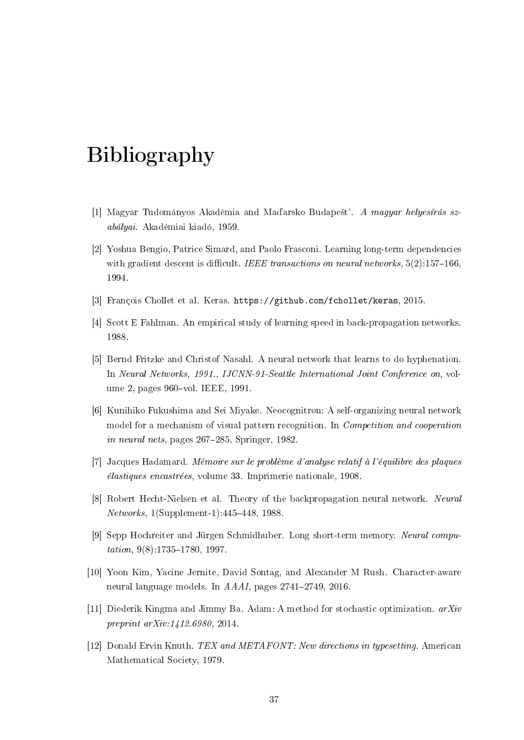## <span id="page-37-0"></span>Bibliography

- <span id="page-37-1"></span>[1] Magyar Tudományos Akadémia and Maďarsko Budapešť'. A magyar helyesírás szabályai. Akadémiai kiadó, 1959.
- <span id="page-37-8"></span>[2] Yoshua Bengio, Patrice Simard, and Paolo Frasconi. Learning long-term dependencies with gradient descent is difficult. IEEE transactions on neural networks,  $5(2)$ :157-166. 1994.
- <span id="page-37-10"></span>[3] François Chollet et al. Keras. [https://github.com/fchollet/keras,](https://github.com/fchollet/keras) 2015.
- <span id="page-37-3"></span>[4] Scott E Fahlman. An empirical study of learning speed in back-propagation networks. 1988.
- [5] Bernd Fritzke and Christof Nasahl. A neural network that learns to do hyphenation. In Neural Networks, 1991., IJCNN-91-Seattle International Joint Conference on, volume 2, pages 960-vol. IEEE, 1991.
- <span id="page-37-6"></span>[6] Kunihiko Fukushima and Sei Miyake. Neocognitron: A self-organizing neural network model for a mechanism of visual pattern recognition. In Competition and cooperation in neural nets, pages 267-285. Springer, 1982.
- <span id="page-37-4"></span>[7] Jacques Hadamard. Mémoire sur le problème d'analyse relatif à l'équilibre des plaques élastiques encastrées, volume 33. Imprimerie nationale, 1908.
- <span id="page-37-5"></span>[8] Robert Hecht-Nielsen et al. Theory of the backpropagation neural network. Neural  $Networks, 1(Supplement-1): 445-448, 1988$
- <span id="page-37-9"></span>[9] Sepp Hochreiter and Jürgen Schmidhuber. Long short-term memory. Neural compu $tation, 9(8)$ :1735-1780, 1997.
- <span id="page-37-7"></span>[10] Yoon Kim, Yacine Jernite, David Sontag, and Alexander M Rush. Character-aware neural language models. In  $A A A I$ , pages  $2741-2749$ ,  $2016$ .
- <span id="page-37-11"></span>[11] Diederik Kingma and Jimmy Ba. Adam: A method for stochastic optimization.  $arXiv$ preprint arXiv:1412.6980, 2014.
- <span id="page-37-2"></span>[12] Donald Ervin Knuth. TEX and METAFONT: New directions in typesetting. American Mathematical Society, 1979.